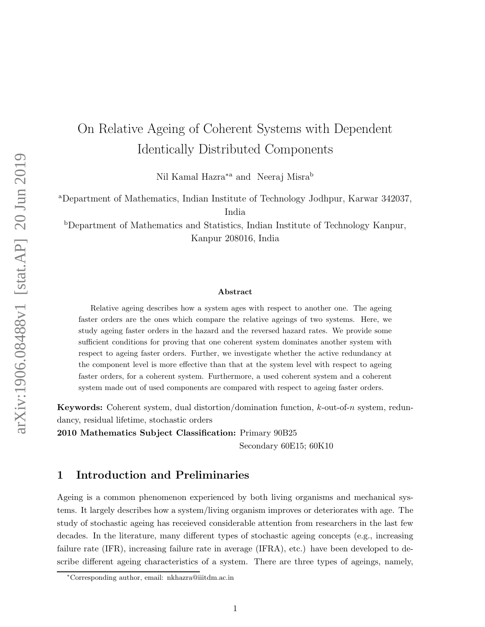# On Relative Ageing of Coherent Systems with Dependent Identically Distributed Components

Nil Kamal Hazra<sup>\*a</sup> and Neeraj Misra<sup>b</sup>

<sup>a</sup>Department of Mathematics, Indian Institute of Technology Jodhpur, Karwar 342037, India

<sup>b</sup>Department of Mathematics and Statistics, Indian Institute of Technology Kanpur, Kanpur 208016, India

#### Abstract

Relative ageing describes how a system ages with respect to another one. The ageing faster orders are the ones which compare the relative ageings of two systems. Here, we study ageing faster orders in the hazard and the reversed hazard rates. We provide some sufficient conditions for proving that one coherent system dominates another system with respect to ageing faster orders. Further, we investigate whether the active redundancy at the component level is more effective than that at the system level with respect to ageing faster orders, for a coherent system. Furthermore, a used coherent system and a coherent system made out of used components are compared with respect to ageing faster orders.

Keywords: Coherent system, dual distortion/domination function, k-out-of-n system, redundancy, residual lifetime, stochastic orders

2010 Mathematics Subject Classification: Primary 90B25

Secondary 60E15; 60K10

## 1 Introduction and Preliminaries

Ageing is a common phenomenon experienced by both living organisms and mechanical systems. It largely describes how a system/living organism improves or deteriorates with age. The study of stochastic ageing has receieved considerable attention from researchers in the last few decades. In the literature, many different types of stochastic ageing concepts (e.g., increasing failure rate (IFR), increasing failure rate in average (IFRA), etc.) have been developed to describe different ageing characteristics of a system. There are three types of ageings, namely,

<sup>∗</sup>Corresponding author, email: nkhazra@iiitdm.ac.in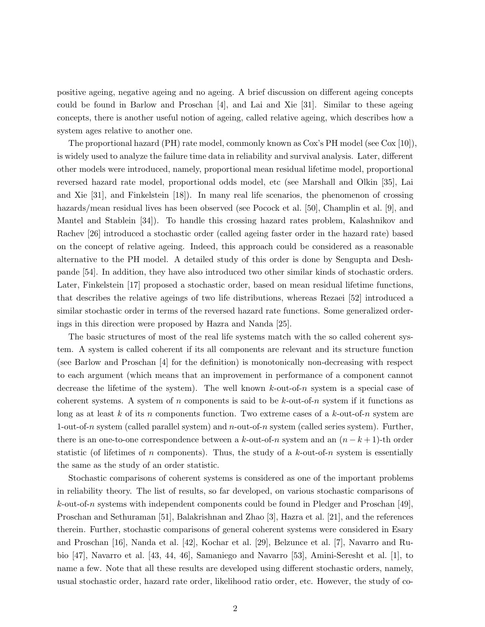positive ageing, negative ageing and no ageing. A brief discussion on different ageing concepts could be found in Barlow and Proschan [4], and Lai and Xie [31]. Similar to these ageing concepts, there is another useful notion of ageing, called relative ageing, which describes how a system ages relative to another one.

The proportional hazard (PH) rate model, commonly known as Cox's PH model (see Cox [10]), is widely used to analyze the failure time data in reliability and survival analysis. Later, different other models were introduced, namely, proportional mean residual lifetime model, proportional reversed hazard rate model, proportional odds model, etc (see Marshall and Olkin [35], Lai and Xie [31], and Finkelstein [18]). In many real life scenarios, the phenomenon of crossing hazards/mean residual lives has been observed (see Pocock et al. [50], Champlin et al. [9], and Mantel and Stablein [34]). To handle this crossing hazard rates problem, Kalashnikov and Rachev [26] introduced a stochastic order (called ageing faster order in the hazard rate) based on the concept of relative ageing. Indeed, this approach could be considered as a reasonable alternative to the PH model. A detailed study of this order is done by Sengupta and Deshpande [54]. In addition, they have also introduced two other similar kinds of stochastic orders. Later, Finkelstein [17] proposed a stochastic order, based on mean residual lifetime functions, that describes the relative ageings of two life distributions, whereas Rezaei [52] introduced a similar stochastic order in terms of the reversed hazard rate functions. Some generalized orderings in this direction were proposed by Hazra and Nanda [25].

The basic structures of most of the real life systems match with the so called coherent system. A system is called coherent if its all components are relevant and its structure function (see Barlow and Proschan [4] for the definition) is monotonically non-decreasing with respect to each argument (which means that an improvement in performance of a component cannot decrease the lifetime of the system). The well known  $k$ -out-of-n system is a special case of coherent systems. A system of n components is said to be  $k$ -out-of-n system if it functions as long as at least k of its n components function. Two extreme cases of a k-out-of-n system are 1-out-of-n system (called parallel system) and n-out-of-n system (called series system). Further, there is an one-to-one correspondence between a k-out-of-n system and an  $(n - k + 1)$ -th order statistic (of lifetimes of n components). Thus, the study of a  $k$ -out-of-n system is essentially the same as the study of an order statistic.

Stochastic comparisons of coherent systems is considered as one of the important problems in reliability theory. The list of results, so far developed, on various stochastic comparisons of  $k$ -out-of-n systems with independent components could be found in Pledger and Proschan [49], Proschan and Sethuraman [51], Balakrishnan and Zhao [3], Hazra et al. [21], and the references therein. Further, stochastic comparisons of general coherent systems were considered in Esary and Proschan [16], Nanda et al. [42], Kochar et al. [29], Belzunce et al. [7], Navarro and Rubio [47], Navarro et al. [43, 44, 46], Samaniego and Navarro [53], Amini-Seresht et al. [1], to name a few. Note that all these results are developed using different stochastic orders, namely, usual stochastic order, hazard rate order, likelihood ratio order, etc. However, the study of co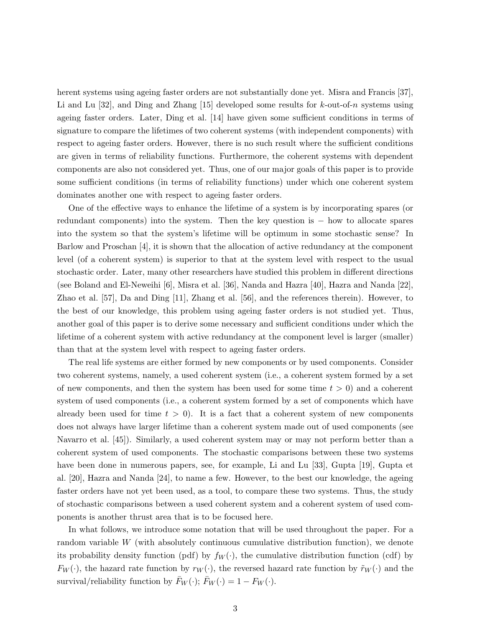herent systems using ageing faster orders are not substantially done yet. Misra and Francis [37], Li and Lu  $[32]$ , and Ding and Zhang  $[15]$  developed some results for k-out-of-n systems using ageing faster orders. Later, Ding et al. [14] have given some sufficient conditions in terms of signature to compare the lifetimes of two coherent systems (with independent components) with respect to ageing faster orders. However, there is no such result where the sufficient conditions are given in terms of reliability functions. Furthermore, the coherent systems with dependent components are also not considered yet. Thus, one of our major goals of this paper is to provide some sufficient conditions (in terms of reliability functions) under which one coherent system dominates another one with respect to ageing faster orders.

One of the effective ways to enhance the lifetime of a system is by incorporating spares (or redundant components) into the system. Then the key question is − how to allocate spares into the system so that the system's lifetime will be optimum in some stochastic sense? In Barlow and Proschan [4], it is shown that the allocation of active redundancy at the component level (of a coherent system) is superior to that at the system level with respect to the usual stochastic order. Later, many other researchers have studied this problem in different directions (see Boland and El-Neweihi [6], Misra et al. [36], Nanda and Hazra [40], Hazra and Nanda [22], Zhao et al. [57], Da and Ding [11], Zhang et al. [56], and the references therein). However, to the best of our knowledge, this problem using ageing faster orders is not studied yet. Thus, another goal of this paper is to derive some necessary and sufficient conditions under which the lifetime of a coherent system with active redundancy at the component level is larger (smaller) than that at the system level with respect to ageing faster orders.

The real life systems are either formed by new components or by used components. Consider two coherent systems, namely, a used coherent system (i.e., a coherent system formed by a set of new components, and then the system has been used for some time  $t > 0$  and a coherent system of used components (i.e., a coherent system formed by a set of components which have already been used for time  $t > 0$ . It is a fact that a coherent system of new components does not always have larger lifetime than a coherent system made out of used components (see Navarro et al. [45]). Similarly, a used coherent system may or may not perform better than a coherent system of used components. The stochastic comparisons between these two systems have been done in numerous papers, see, for example, Li and Lu [33], Gupta [19], Gupta et al. [20], Hazra and Nanda [24], to name a few. However, to the best our knowledge, the ageing faster orders have not yet been used, as a tool, to compare these two systems. Thus, the study of stochastic comparisons between a used coherent system and a coherent system of used components is another thrust area that is to be focused here.

In what follows, we introduce some notation that will be used throughout the paper. For a random variable W (with absolutely continuous cumulative distribution function), we denote its probability density function (pdf) by  $f_W(\cdot)$ , the cumulative distribution function (cdf) by  $F_W(\cdot)$ , the hazard rate function by  $r_W(\cdot)$ , the reversed hazard rate function by  $\tilde{r}_W(\cdot)$  and the survival/reliability function by  $F_W(\cdot); F_W(\cdot) = 1 - F_W(\cdot)$ .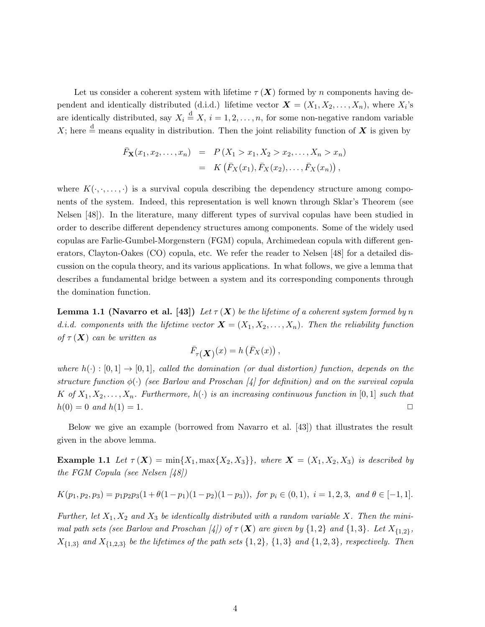Let us consider a coherent system with lifetime  $\tau(X)$  formed by n components having dependent and identically distributed (d.i.d.) lifetime vector  $\mathbf{X} = (X_1, X_2, \dots, X_n)$ , where  $X_i$ 's are identically distributed, say  $X_i \stackrel{d}{=} X$ ,  $i = 1, 2, ..., n$ , for some non-negative random variable X; here  $\stackrel{\text{d}}{=}$  means equality in distribution. Then the joint reliability function of X is given by

$$
\begin{array}{rcl}\n\bar{F}_{\mathbf{X}}(x_1, x_2, \dots, x_n) & = & P\left(X_1 > x_1, X_2 > x_2, \dots, X_n > x_n\right) \\
& = & K\left(\bar{F}_X(x_1), \bar{F}_X(x_2), \dots, \bar{F}_X(x_n)\right),\n\end{array}
$$

where  $K(\cdot, \cdot, \ldots, \cdot)$  is a survival copula describing the dependency structure among components of the system. Indeed, this representation is well known through Sklar's Theorem (see Nelsen [48]). In the literature, many different types of survival copulas have been studied in order to describe different dependency structures among components. Some of the widely used copulas are Farlie-Gumbel-Morgenstern (FGM) copula, Archimedean copula with different generators, Clayton-Oakes (CO) copula, etc. We refer the reader to Nelsen [48] for a detailed discussion on the copula theory, and its various applications. In what follows, we give a lemma that describes a fundamental bridge between a system and its corresponding components through the domination function.

**Lemma 1.1 (Navarro et al.** [43]) Let  $\tau(X)$  be the lifetime of a coherent system formed by n d.i.d. components with the lifetime vector  $\mathbf{X} = (X_1, X_2, \ldots, X_n)$ . Then the reliability function of  $\tau(X)$  can be written as

$$
\bar{F}_{\tau}(\mathbf{X})^{(x)} = h(\bar{F}_X(x)),
$$

where  $h(\cdot): [0,1] \to [0,1]$ , called the domination (or dual distortion) function, depends on the structure function  $\phi(\cdot)$  (see Barlow and Proschan [4] for definition) and on the survival copula K of  $X_1, X_2, \ldots, X_n$ . Furthermore,  $h(\cdot)$  is an increasing continuous function in [0,1] such that  $h(0) = 0$  and  $h(1) = 1$ .

Below we give an example (borrowed from Navarro et al. [43]) that illustrates the result given in the above lemma.

**Example 1.1** Let  $\tau(X) = \min\{X_1, \max\{X_2, X_3\}\}\$ , where  $X = (X_1, X_2, X_3)$  is described by the FGM Copula (see Nelsen [48])

$$
K(p_1, p_2, p_3) = p_1 p_2 p_3 (1 + \theta(1 - p_1)(1 - p_2)(1 - p_3)), \text{ for } p_i \in (0, 1), i = 1, 2, 3, \text{ and } \theta \in [-1, 1].
$$

Further, let  $X_1, X_2$  and  $X_3$  be identically distributed with a random variable X. Then the minimal path sets (see Barlow and Proschan [4]) of  $\tau(\mathbf{X})$  are given by  $\{1,2\}$  and  $\{1,3\}$ . Let  $X_{\{1,2\}}$ ,  $X_{\{1,3\}}$  and  $X_{\{1,2,3\}}$  be the lifetimes of the path sets  $\{1,2\}$ ,  $\{1,3\}$  and  $\{1,2,3\}$ , respectively. Then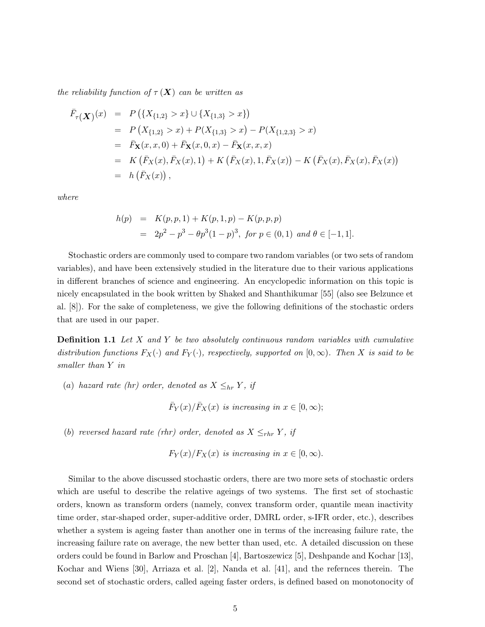the reliability function of  $\tau(X)$  can be written as

$$
\begin{aligned}\n\bar{F}_{\tau}(\boldsymbol{X})^{(x)} &= P\left(\{X_{\{1,2\}} > x\} \cup \{X_{\{1,3\}} > x\}\right) \\
&= P\left(X_{\{1,2\}} > x\right) + P(X_{\{1,3\}} > x) - P(X_{\{1,2,3\}} > x) \\
&= \bar{F}_{\mathbf{X}}(x, x, 0) + \bar{F}_{\mathbf{X}}(x, 0, x) - \bar{F}_{\mathbf{X}}(x, x, x) \\
&= K\left(\bar{F}_{X}(x), \bar{F}_{X}(x), 1\right) + K\left(\bar{F}_{X}(x), 1, \bar{F}_{X}(x)\right) - K\left(\bar{F}_{X}(x), \bar{F}_{X}(x), \bar{F}_{X}(x)\right) \\
&= h\left(\bar{F}_{X}(x)\right),\n\end{aligned}
$$

where

$$
h(p) = K(p, p, 1) + K(p, 1, p) - K(p, p, p)
$$
  
=  $2p^2 - p^3 - \theta p^3 (1 - p)^3$ , for  $p \in (0, 1)$  and  $\theta \in [-1, 1]$ .

Stochastic orders are commonly used to compare two random variables (or two sets of random variables), and have been extensively studied in the literature due to their various applications in different branches of science and engineering. An encyclopedic information on this topic is nicely encapsulated in the book written by Shaked and Shanthikumar [55] (also see Belzunce et al. [8]). For the sake of completeness, we give the following definitions of the stochastic orders that are used in our paper.

**Definition 1.1** Let  $X$  and  $Y$  be two absolutely continuous random variables with cumulative distribution functions  $F_X(\cdot)$  and  $F_Y(\cdot)$ , respectively, supported on  $[0, \infty)$ . Then X is said to be smaller than Y in

(a) hazard rate (hr) order, denoted as  $X \leq_{hr} Y$ , if

 $\bar{F}_Y(x)/\bar{F}_X(x)$  is increasing in  $x \in [0, \infty)$ ;

(b) reversed hazard rate (rhr) order, denoted as  $X \leq_{rhr} Y$ , if

 $F_Y(x)/F_X(x)$  is increasing in  $x \in [0,\infty)$ .

Similar to the above discussed stochastic orders, there are two more sets of stochastic orders which are useful to describe the relative ageings of two systems. The first set of stochastic orders, known as transform orders (namely, convex transform order, quantile mean inactivity time order, star-shaped order, super-additive order, DMRL order, s-IFR order, etc.), describes whether a system is ageing faster than another one in terms of the increasing failure rate, the increasing failure rate on average, the new better than used, etc. A detailed discussion on these orders could be found in Barlow and Proschan [4], Bartoszewicz [5], Deshpande and Kochar [13], Kochar and Wiens [30], Arriaza et al. [2], Nanda et al. [41], and the refernces therein. The second set of stochastic orders, called ageing faster orders, is defined based on monotonocity of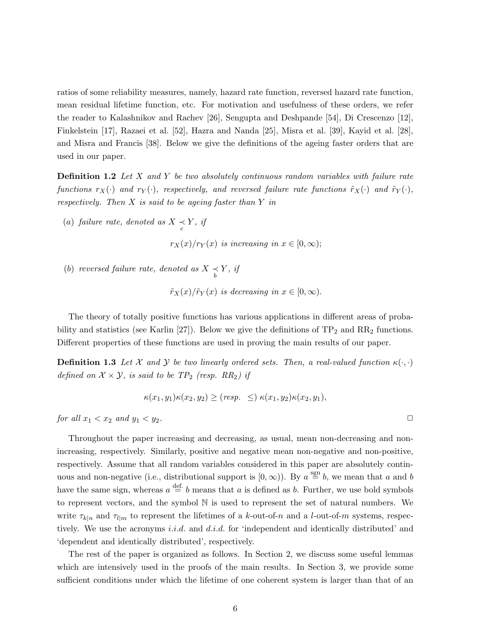ratios of some reliability measures, namely, hazard rate function, reversed hazard rate function, mean residual lifetime function, etc. For motivation and usefulness of these orders, we refer the reader to Kalashnikov and Rachev [26], Sengupta and Deshpande [54], Di Crescenzo [12], Finkelstein [17], Razaei et al. [52], Hazra and Nanda [25], Misra et al. [39], Kayid et al. [28], and Misra and Francis [38]. Below we give the definitions of the ageing faster orders that are used in our paper.

**Definition 1.2** Let X and Y be two absolutely continuous random variables with failure rate functions  $r_X(\cdot)$  and  $r_Y(\cdot)$ , respectively, and reversed failure rate functions  $\tilde{r}_X(\cdot)$  and  $\tilde{r}_Y(\cdot)$ , respectively. Then  $X$  is said to be ageing faster than  $Y$  in

(a) failure rate, denoted as  $X \underset{c}{\prec} Y$ , if

 $r_X(x)/r_Y(x)$  is increasing in  $x \in [0,\infty);$ 

(b) reversed failure rate, denoted as  $X \underset{b}{\prec} Y$ , if

 $\tilde{r}_X(x)/\tilde{r}_Y(x)$  is decreasing in  $x \in [0,\infty)$ .

The theory of totally positive functions has various applications in different areas of probability and statistics (see Karlin [27]). Below we give the definitions of  $TP_2$  and  $RR_2$  functions. Different properties of these functions are used in proving the main results of our paper.

**Definition 1.3** Let X and Y be two linearly ordered sets. Then, a real-valued function  $\kappa(\cdot, \cdot)$ defined on  $\mathcal{X} \times \mathcal{Y}$ , is said to be  $TP_2$  (resp. RR<sub>2</sub>) if

$$
\kappa(x_1, y_1)\kappa(x_2, y_2) \ge (resp. \le )\kappa(x_1, y_2)\kappa(x_2, y_1),
$$

for all  $x_1 < x_2$  and  $y_1 < y_2$ .

Throughout the paper increasing and decreasing, as usual, mean non-decreasing and nonincreasing, respectively. Similarly, positive and negative mean non-negative and non-positive, respectively. Assume that all random variables considered in this paper are absolutely continuous and non-negative (i.e., distributional support is  $[0, \infty)$ ). By  $a \stackrel{\text{sgn}}{=} b$ , we mean that a and b have the same sign, whereas  $a \stackrel{\text{def.}}{=} b$  means that a is defined as b. Further, we use bold symbols to represent vectors, and the symbol N is used to represent the set of natural numbers. We write  $\tau_{k|n}$  and  $\tau_{l|m}$  to represent the lifetimes of a k-out-of-n and a l-out-of-m systems, respectively. We use the acronyms i.i.d. and d.i.d. for 'independent and identically distributed' and 'dependent and identically distributed', respectively.

The rest of the paper is organized as follows. In Section 2, we discuss some useful lemmas which are intensively used in the proofs of the main results. In Section 3, we provide some sufficient conditions under which the lifetime of one coherent system is larger than that of an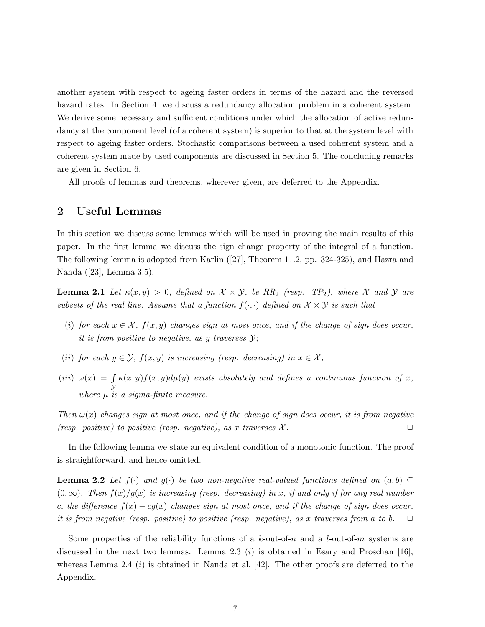another system with respect to ageing faster orders in terms of the hazard and the reversed hazard rates. In Section 4, we discuss a redundancy allocation problem in a coherent system. We derive some necessary and sufficient conditions under which the allocation of active redundancy at the component level (of a coherent system) is superior to that at the system level with respect to ageing faster orders. Stochastic comparisons between a used coherent system and a coherent system made by used components are discussed in Section 5. The concluding remarks are given in Section 6.

All proofs of lemmas and theorems, wherever given, are deferred to the Appendix.

## 2 Useful Lemmas

In this section we discuss some lemmas which will be used in proving the main results of this paper. In the first lemma we discuss the sign change property of the integral of a function. The following lemma is adopted from Karlin ([27], Theorem 11.2, pp. 324-325), and Hazra and Nanda ([23], Lemma 3.5).

**Lemma 2.1** Let  $\kappa(x, y) > 0$ , defined on  $\mathcal{X} \times \mathcal{Y}$ , be RR<sub>2</sub> (resp. TP<sub>2</sub>), where X and Y are subsets of the real line. Assume that a function  $f(\cdot, \cdot)$  defined on  $\mathcal{X} \times \mathcal{Y}$  is such that

- (i) for each  $x \in \mathcal{X}$ ,  $f(x, y)$  changes sign at most once, and if the change of sign does occur, it is from positive to negative, as y traverses  $\mathcal{Y}$ ;
- (ii) for each  $y \in \mathcal{Y}$ ,  $f(x, y)$  is increasing (resp. decreasing) in  $x \in \mathcal{X}$ ;
- $(iii) \omega(x) = \int$  $\mathcal Y$  $\kappa(x,y)f(x,y)d\mu(y)$  exists absolutely and defines a continuous function of x, where  $\mu$  is a sigma-finite measure.

Then  $\omega(x)$  changes sign at most once, and if the change of sign does occur, it is from negative (resp. positive) to positive (resp. negative), as x traverses  $\mathcal{X}$ .

In the following lemma we state an equivalent condition of a monotonic function. The proof is straightforward, and hence omitted.

**Lemma 2.2** Let  $f(\cdot)$  and  $g(\cdot)$  be two non-negative real-valued functions defined on  $(a, b) \subseteq$  $(0, \infty)$ . Then  $f(x)/g(x)$  is increasing (resp. decreasing) in x, if and only if for any real number c, the difference  $f(x) - cg(x)$  changes sign at most once, and if the change of sign does occur, it is from negative (resp. positive) to positive (resp. negative), as x traverses from a to b.  $\Box$ 

Some properties of the reliability functions of a k-out-of-n and a l-out-of-m systems are discussed in the next two lemmas. Lemma 2.3  $(i)$  is obtained in Esary and Proschan [16], whereas Lemma 2.4  $(i)$  is obtained in Nanda et al. [42]. The other proofs are deferred to the Appendix.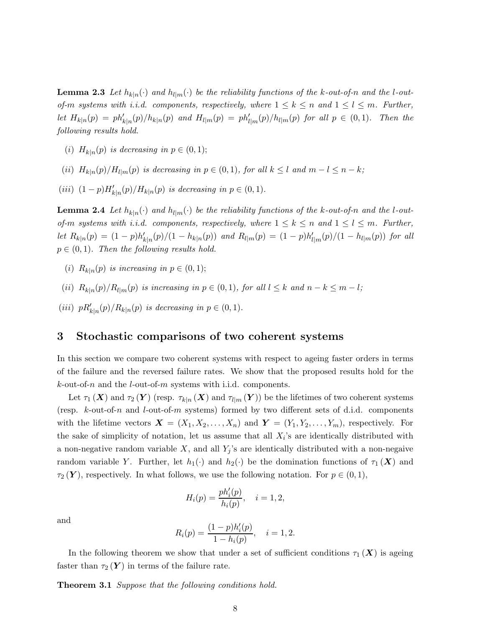**Lemma 2.3** Let  $h_{k|n}(\cdot)$  and  $h_{l|m}(\cdot)$  be the reliability functions of the k-out-of-n and the l-outof-m systems with i.i.d. components, respectively, where  $1 \leq k \leq n$  and  $1 \leq l \leq m$ . Further, let  $H_{k|n}(p) = ph'_{k|n}(p)/h_{k|n}(p)$  and  $H_{l|m}(p) = ph'_{l|m}(p)/h_{l|m}(p)$  for all  $p \in (0,1)$ . Then the following results hold.

- (i)  $H_{k|n}(p)$  is decreasing in  $p \in (0,1)$ ;
- (ii)  $H_{k|n}(p)/H_{l|m}(p)$  is decreasing in  $p \in (0,1)$ , for all  $k \leq l$  and  $m-l \leq n-k$ ;
- (iii)  $(1-p)H'_{k|n}(p)/H_{k|n}(p)$  is decreasing in  $p \in (0,1)$ .

**Lemma 2.4** Let  $h_{k|n}(\cdot)$  and  $h_{l|m}(\cdot)$  be the reliability functions of the k-out-of-n and the l-outof-m systems with i.i.d. components, respectively, where  $1 \leq k \leq n$  and  $1 \leq l \leq m$ . Further, let  $R_{k|n}(p) = (1-p)h'_{k|n}(p)/(1-h_{k|n}(p))$  and  $R_{l|m}(p) = (1-p)h'_{l|m}(p)/(1-h_{l|m}(p))$  for all  $p \in (0, 1)$ . Then the following results hold.

- (i)  $R_{k|n}(p)$  is increasing in  $p \in (0,1)$ ;
- (ii)  $R_{k|n}(p)/R_{l|m}(p)$  is increasing in  $p \in (0,1)$ , for all  $l \leq k$  and  $n-k \leq m-l$ ;
- (iii)  $pR'_{k|n}(p)/R_{k|n}(p)$  is decreasing in  $p \in (0,1)$ .

### 3 Stochastic comparisons of two coherent systems

In this section we compare two coherent systems with respect to ageing faster orders in terms of the failure and the reversed failure rates. We show that the proposed results hold for the  $k$ -out-of-n and the *l*-out-of-m systems with i.i.d. components.

Let  $\tau_1(X)$  and  $\tau_2(Y)$  (resp.  $\tau_{k|n}(X)$  and  $\tau_{l|m}(Y)$ ) be the lifetimes of two coherent systems (resp.  $k$ -out-of-n and  $l$ -out-of-m systems) formed by two different sets of d.i.d. components with the lifetime vectors  $\mathbf{X} = (X_1, X_2, \ldots, X_n)$  and  $\mathbf{Y} = (Y_1, Y_2, \ldots, Y_m)$ , respectively. For the sake of simplicity of notation, let us assume that all  $X_i$ 's are identically distributed with a non-negative random variable X, and all  $Y_j$ 's are identically distributed with a non-negaive random variable Y. Further, let  $h_1(\cdot)$  and  $h_2(\cdot)$  be the domination functions of  $\tau_1(\boldsymbol{X})$  and  $\tau_2(Y)$ , respectively. In what follows, we use the following notation. For  $p \in (0,1)$ ,

$$
H_i(p) = \frac{ph_i'(p)}{h_i(p)}, \quad i = 1, 2,
$$

and

$$
R_i(p) = \frac{(1-p)h'_i(p)}{1 - h_i(p)}, \quad i = 1, 2.
$$

In the following theorem we show that under a set of sufficient conditions  $\tau_1(X)$  is ageing faster than  $\tau_2(Y)$  in terms of the failure rate.

**Theorem 3.1** Suppose that the following conditions hold.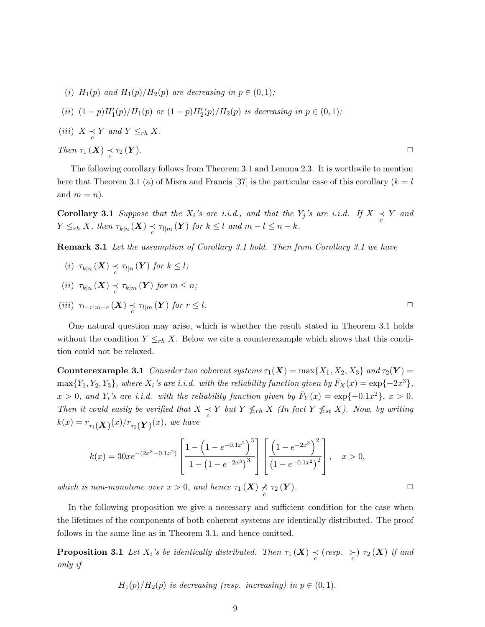(i)  $H_1(p)$  and  $H_1(p)/H_2(p)$  are decreasing in  $p \in (0,1)$ ;

(ii) 
$$
(1-p)H'_1(p)/H_1(p)
$$
 or  $(1-p)H'_2(p)/H_2(p)$  is decreasing in  $p \in (0,1)$ ;

(iii)  $X \underset{c}{\prec} Y$  and  $Y \leq_{rh} X$ .

Then  $\tau_1(X) \underset{c}{\prec}$  $\tau_2(Y)$ .

The following corollary follows from Theorem 3.1 and Lemma 2.3. It is worthwile to mention here that Theorem 3.1 (a) of Misra and Francis [37] is the particular case of this corollary  $(k = l)$ and  $m = n$ ).

**Corollary 3.1** Suppose that the  $X_i$ 's are i.i.d., and that the  $Y_j$ 's are i.i.d. If  $X \underset{c}{\prec} Y$  and  $Y \leq_{rh} X$ , then  $\tau_{k|n}(\boldsymbol{X}) \preceq \tau_{l|m}(\boldsymbol{Y})$  for  $k \leq l$  and  $m-l \leq n-k$ .

Remark 3.1 Let the assumption of Corollary 3.1 hold. Then from Corollary 3.1 we have

(i)  $\tau_{k|n}(\boldsymbol{X}) \underset{c}{\prec} \tau_{l|n}(\boldsymbol{Y})$  for  $k \leq l$ ; (ii)  $\tau_{k|n}(\boldsymbol{X}) \preceq \tau_{k|m}(\boldsymbol{Y})$  for  $m \leq n$ ;

$$
(iii) \ \tau_{l-r|m-r}(\boldsymbol{X}) \underset{c}{\prec} \tau_{l|m}(\boldsymbol{Y}) \ \text{for} \ r \leq l. \qquad \qquad \Box
$$

One natural question may arise, which is whether the result stated in Theorem 3.1 holds without the condition  $Y \leq_{rh} X$ . Below we cite a counterexample which shows that this condition could not be relaxed.

**Counterexample 3.1** Consider two coherent systems  $\tau_1(X) = \max\{X_1, X_2, X_3\}$  and  $\tau_2(Y) =$  $\max\{Y_1, Y_2, Y_3\}$ , where  $X_i$ 's are i.i.d. with the reliability function given by  $\bar{F}_X(x) = \exp\{-2x^3\}$ ,  $x > 0$ , and  $Y_i$ 's are i.i.d. with the reliability function given by  $\bar{F}_Y(x) = \exp\{-0.1x^2\}$ ,  $x > 0$ . Then it could easily be verified that  $X \underset{c}{\prec} Y$  but  $Y \nleq_{rh} X$  (In fact  $Y \nleq_{st} X$ ). Now, by writing  $k(x) = r_{\tau_1}(\bm{X})^{(\bm{x})/r_{\tau_2}(\bm{Y})^{(\bm{x})}, \textit{ we have}}$ 

$$
k(x) = 30xe^{-(2x^3 - 0.1x^2)} \left[ \frac{1 - \left(1 - e^{-0.1x^2}\right)^3}{1 - \left(1 - e^{-2x^3}\right)^3} \right] \left[ \frac{\left(1 - e^{-2x^3}\right)^2}{\left(1 - e^{-0.1x^2}\right)^2} \right], \quad x > 0,
$$

which is non-monotone over  $x > 0$ , and hence  $\tau_1(X) \nless \tau_2(Y)$ .

In the following proposition we give a necessary and sufficient condition for the case when the lifetimes of the components of both coherent systems are identically distributed. The proof follows in the same line as in Theorem 3.1, and hence omitted.

**Proposition 3.1** Let  $X_i$ 's be identically distributed. Then  $\tau_1(X) \underset{c}{\prec}$  (resp.  $\underset{c}{\succ}$ )  $\tau_2(X)$  if and only if

$$
H_1(p)/H_2(p)
$$
 is decreasing (resp. increasing) in  $p \in (0,1)$ .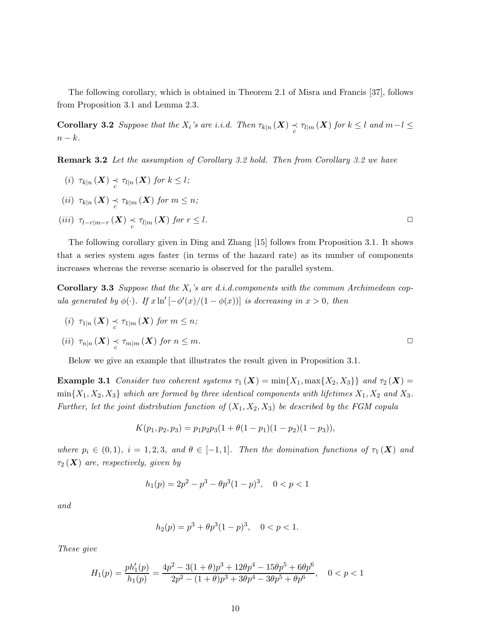The following corollary, which is obtained in Theorem 2.1 of Misra and Francis [37], follows from Proposition 3.1 and Lemma 2.3.

**Corollary 3.2** Suppose that the  $X_i$ 's are i.i.d. Then  $\tau_{k|n}(\boldsymbol{X}) \preceq \tau_{l|m}(\boldsymbol{X})$  for  $k \leq l$  and  $m-l \leq$  $n - k$ .

Remark 3.2 Let the assumption of Corollary 3.2 hold. Then from Corollary 3.2 we have

- (i)  $\tau_{k|n}(\boldsymbol{X}) \underset{c}{\prec} \tau_{l|n}(\boldsymbol{X})$  for  $k \leq l$ ;
- (ii)  $\tau_{k|n}(\boldsymbol{X}) \preceq \tau_{k|m}(\boldsymbol{X})$  for  $m \leq n$ ;
- (iii)  $\tau_{l-r|m-r}(\boldsymbol{X}) \preceq \tau_{l|m}(\boldsymbol{X})$  for  $r \leq l$ .

The following corollary given in Ding and Zhang [15] follows from Proposition 3.1. It shows that a series system ages faster (in terms of the hazard rate) as its number of components increases whereas the reverse scenario is observed for the parallel system.

**Corollary 3.3** Suppose that the  $X_i$ 's are d.i.d.components with the common Archimedean copula generated by  $\phi(\cdot)$ . If  $x \ln'[-\phi'(x)/(1-\phi(x))]$  is decreasing in  $x > 0$ , then

(i) 
$$
\tau_{1|n}(X) \underset{c}{\prec} \tau_{1|m}(X)
$$
 for  $m \leq n$ ;  
\n(ii)  $\tau_{n|n}(X) \underset{c}{\prec} \tau_{m|m}(X)$  for  $n \leq m$ .

Below we give an example that illustrates the result given in Proposition 3.1.

**Example 3.1** Consider two coherent systems  $\tau_1(X) = \min\{X_1, \max\{X_2, X_3\}\}\$  and  $\tau_2(X) =$  $min{X_1, X_2, X_3}$  which are formed by three identical components with lifetimes  $X_1, X_2$  and  $X_3$ . Further, let the joint distribution function of  $(X_1, X_2, X_3)$  be described by the FGM copula

$$
K(p_1, p_2, p_3) = p_1 p_2 p_3 (1 + \theta (1 - p_1)(1 - p_2)(1 - p_3)),
$$

where  $p_i \in (0,1)$ ,  $i = 1,2,3$ , and  $\theta \in [-1,1]$ . Then the domination functions of  $\tau_1(\mathbf{X})$  and  $\tau_2(X)$  are, respectively, given by

$$
h_1(p) = 2p^2 - p^3 - \theta p^3 (1 - p)^3, \quad 0 < p < 1
$$

and

$$
h_2(p) = p^3 + \theta p^3 (1 - p)^3, \quad 0 < p < 1.
$$

These give

$$
H_1(p) = \frac{ph'_1(p)}{h_1(p)} = \frac{4p^2 - 3(1+\theta)p^3 + 12\theta p^4 - 15\theta p^5 + 6\theta p^6}{2p^2 - (1+\theta)p^3 + 3\theta p^4 - 3\theta p^5 + \theta p^6}, \quad 0 < p < 1
$$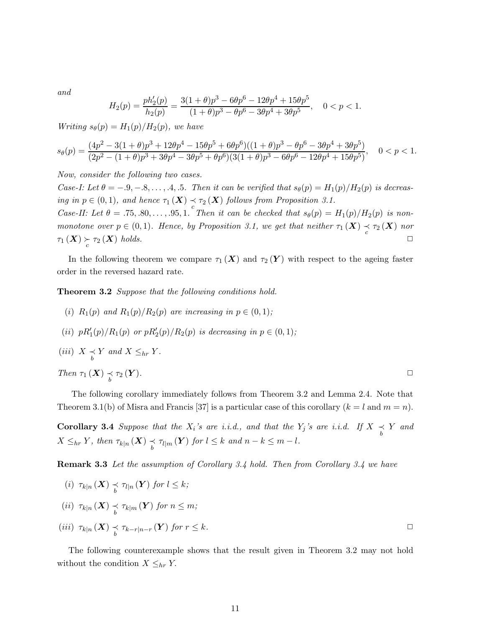and

$$
H_2(p) = \frac{ph'_2(p)}{h_2(p)} = \frac{3(1+\theta)p^3 - 6\theta p^6 - 12\theta p^4 + 15\theta p^5}{(1+\theta)p^3 - \theta p^6 - 3\theta p^4 + 3\theta p^5}, \quad 0 < p < 1.
$$

Writing  $s_{\theta}(p) = H_1(p)/H_2(p)$ , we have

$$
s_{\theta}(p) = \frac{(4p^2 - 3(1+\theta)p^3 + 12\theta p^4 - 15\theta p^5 + 6\theta p^6)((1+\theta)p^3 - \theta p^6 - 3\theta p^4 + 3\theta p^5)}{(2p^2 - (1+\theta)p^3 + 3\theta p^4 - 3\theta p^5 + \theta p^6)(3(1+\theta)p^3 - 6\theta p^6 - 12\theta p^4 + 15\theta p^5)}, \quad 0 < p < 1.
$$

Now, consider the following two cases.

Case-I: Let  $\theta = -0.9, -0.8, \ldots, 0.4, 0.5$ . Then it can be verified that  $s_{\theta}(p) = H_1(p)/H_2(p)$  is decreasing in  $p \in (0,1)$ , and hence  $\tau_1(\boldsymbol{X}) \preceq \tau_2(\boldsymbol{X})$  follows from Proposition 3.1. Case-II: Let  $\theta = .75, .80, \ldots, .95, 1$ . Then it can be checked that  $s_{\theta}(p) = H_1(p)/H_2(p)$  is nonmonotone over  $p \in (0,1)$ . Hence, by Proposition 3.1, we get that neither  $\tau_1(X) \underset{c}{\prec} \tau_2(X)$  nor  $\tau_1(X) \succcurlyeq \tau_2(X)$  holds.

In the following theorem we compare  $\tau_1(X)$  and  $\tau_2(Y)$  with respect to the ageing faster order in the reversed hazard rate.

Theorem 3.2 Suppose that the following conditions hold.

- (i)  $R_1(p)$  and  $R_1(p)/R_2(p)$  are increasing in  $p \in (0,1)$ ;
- (*ii*)  $pR'_1(p)/R_1(p)$  or  $pR'_2(p)/R_2(p)$  is decreasing in  $p \in (0,1)$ ;

(iii) 
$$
X \underset{b}{\prec} Y
$$
 and  $X \leq_{hr} Y$ .  
\nThen  $\tau_1(X) \underset{b}{\prec} \tau_2(Y)$ .

The following corollary immediately follows from Theorem 3.2 and Lemma 2.4. Note that Theorem 3.1(b) of Misra and Francis [37] is a particular case of this corollary  $(k = l \text{ and } m = n)$ .

**Corollary 3.4** Suppose that the  $X_i$ 's are i.i.d., and that the  $Y_j$ 's are i.i.d. If  $X \underset{b}{\prec} Y$  and  $X \leq_{hr} Y$ , then  $\tau_{k|n}(\boldsymbol{X}) \preccurlyeq \tau_{l|m}(\boldsymbol{Y})$  for  $l \leq k$  and  $n-k \leq m-l$ .

**Remark 3.3** Let the assumption of Corollary 3.4 hold. Then from Corollary 3.4 we have

$$
(i) \ \tau_{k|n}(\mathbf{X}) \preceq \tau_{l|n}(\mathbf{Y}) \text{ for } l \leq k;
$$
\n
$$
(ii) \ \tau_{k|n}(\mathbf{X}) \preceq \tau_{k|m}(\mathbf{Y}) \text{ for } n \leq m;
$$
\n
$$
(iii) \ \tau_{k|n}(\mathbf{X}) \preceq \tau_{k-r|n-r}(\mathbf{Y}) \text{ for } r \leq k.
$$

The following counterexample shows that the result given in Theorem 3.2 may not hold without the condition  $X \leq_{hr} Y$ .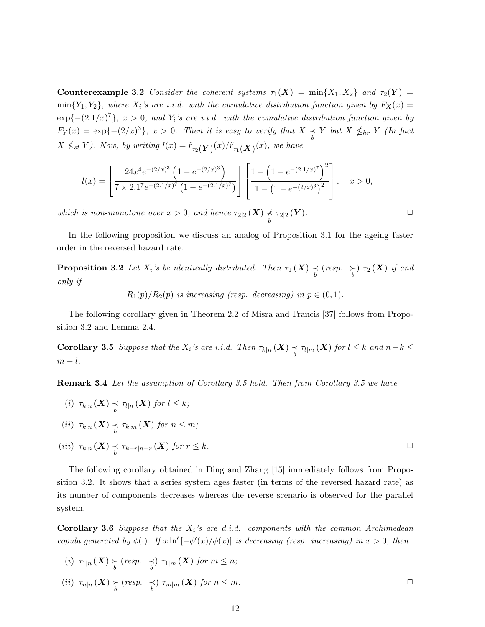Counterexample 3.2 Consider the coherent systems  $\tau_1(X) = \min\{X_1, X_2\}$  and  $\tau_2(Y) =$  $\min\{Y_1,Y_2\}$ , where  $X_i$ 's are i.i.d. with the cumulative distribution function given by  $F_X(x) =$  $\exp\{-(2.1/x)^7\}$ ,  $x > 0$ , and  $Y_i$ 's are i.i.d. with the cumulative distribution function given by  $F_Y(x) = \exp\{- (2/x)^3\}, x > 0$ . Then it is easy to verify that  $X \underset{b}{\prec} Y$  but  $X \nleq_{hr} Y$  (In fact  $X \nleq_{st} Y$ ). Now, by writing  $l(x) = \tilde{r}_{\tau_2}(\boldsymbol{Y})(x)/\tilde{r}_{\tau_1}(\boldsymbol{X})(x)$ , we have

$$
l(x) = \left[ \frac{24x^4 e^{-(2/x)^3} \left(1 - e^{-(2/x)^3}\right)}{7 \times 2.1^7 e^{-(2.1/x)^7} \left(1 - e^{-(2.1/x)^7}\right)} \right] \left[ \frac{1 - \left(1 - e^{-(2.1/x)^7}\right)^2}{1 - \left(1 - e^{-(2/x)^3}\right)^2} \right], \quad x > 0,
$$

which is non-monotone over  $x > 0$ , and hence  $\tau_{2|2}(\boldsymbol{X}) \not\prec$  $\frac{\mathcal{L}}{b}$   $\tau_{2|2}(\boldsymbol{Y}).$ 

In the following proposition we discuss an analog of Proposition 3.1 for the ageing faster order in the reversed hazard rate.

**Proposition 3.2** Let  $X_i$ 's be identically distributed. Then  $\tau_1(X) \underset{b}{\prec}$  (resp.  $\underset{b}{\succ}$ )  $\tau_2(X)$  if and only if

 $R_1(p)/R_2(p)$  is increasing (resp. decreasing) in  $p \in (0,1)$ .

The following corollary given in Theorem 2.2 of Misra and Francis [37] follows from Proposition 3.2 and Lemma 2.4.

**Corollary 3.5** Suppose that the  $X_i$ 's are i.i.d. Then  $\tau_{k|n}(\boldsymbol{X}) \preceq \tau_{l|m}(\boldsymbol{X})$  for  $l \leq k$  and  $n-k \leq$  $m - l$ .

Remark 3.4 Let the assumption of Corollary 3.5 hold. Then from Corollary 3.5 we have

(i)  $\tau_{k|n}(\boldsymbol{X}) \underset{b}{\prec} \tau_{l|n}(\boldsymbol{X})$  for  $l \leq k$ ; (*ii*)  $\tau_{k|n}(\boldsymbol{X}) \preceq \tau_{k|m}(\boldsymbol{X})$  for  $n \leq m$ ; (iii)  $\tau_{k|n}(\boldsymbol{X}) \underset{b}{\prec} \tau_{k-r|n-r}(\boldsymbol{X})$  for  $r \leq k$ .

The following corollary obtained in Ding and Zhang [15] immediately follows from Proposition 3.2. It shows that a series system ages faster (in terms of the reversed hazard rate) as its number of components decreases whereas the reverse scenario is observed for the parallel system.

**Corollary 3.6** Suppose that the  $X_i$ 's are d.i.d. components with the common Archimedean copula generated by  $\phi(\cdot)$ . If  $x \ln'[-\phi'(x)/\phi(x)]$  is decreasing (resp. increasing) in  $x > 0$ , then

$$
(i) \ \tau_{1|n}(\mathbf{X}) \underset{b}{\succ} (resp. \underset{b}{\prec}) \ \tau_{1|m}(\mathbf{X}) \ \text{for} \ m \leq n;
$$
\n
$$
(ii) \ \tau_{n|n}(\mathbf{X}) \underset{b}{\succ} (resp. \underset{b}{\prec}) \ \tau_{m|m}(\mathbf{X}) \ \text{for} \ n \leq m.
$$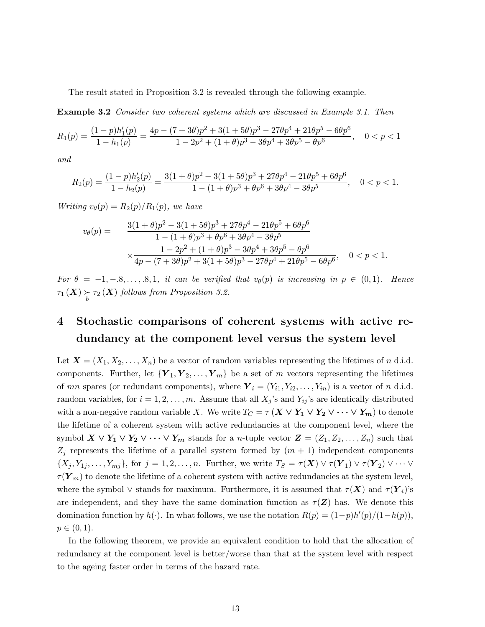The result stated in Proposition 3.2 is revealed through the following example.

Example 3.2 Consider two coherent systems which are discussed in Example 3.1. Then

$$
R_1(p) = \frac{(1-p)h'_1(p)}{1-h_1(p)} = \frac{4p - (7+3\theta)p^2 + 3(1+5\theta)p^3 - 27\theta p^4 + 21\theta p^5 - 6\theta p^6}{1-2p^2 + (1+\theta)p^3 - 3\theta p^4 + 3\theta p^5 - \theta p^6}, \quad 0 < p < 1
$$

and

$$
R_2(p) = \frac{(1-p)h'_2(p)}{1-h_2(p)} = \frac{3(1+\theta)p^2 - 3(1+5\theta)p^3 + 27\theta p^4 - 21\theta p^5 + 6\theta p^6}{1-(1+\theta)p^3 + \theta p^6 + 3\theta p^4 - 3\theta p^5}, \quad 0 < p < 1.
$$

Writing  $v_{\theta}(p) = R_2(p)/R_1(p)$ , we have

$$
v_{\theta}(p) = \frac{3(1+\theta)p^2 - 3(1+5\theta)p^3 + 27\theta p^4 - 21\theta p^5 + 6\theta p^6}{1 - (1+\theta)p^3 + \theta p^6 + 3\theta p^4 - 3\theta p^5}
$$
  

$$
\times \frac{1 - 2p^2 + (1+\theta)p^3 - 3\theta p^4 + 3\theta p^5 - \theta p^6}{4p - (7+3\theta)p^2 + 3(1+5\theta)p^3 - 27\theta p^4 + 21\theta p^5 - 6\theta p^6}, \quad 0 < p < 1.
$$

For  $\theta = -1, -8, \ldots, 8, 1$ , it can be verified that  $v_{\theta}(p)$  is increasing in  $p \in (0, 1)$ . Hence  $\tau_1(X) \underset{b}{\succ} \tau_2(X)$  follows from Proposition 3.2.

## 4 Stochastic comparisons of coherent systems with active redundancy at the component level versus the system level

Let  $\mathbf{X} = (X_1, X_2, \dots, X_n)$  be a vector of random variables representing the lifetimes of n d.i.d. components. Further, let  ${Y_1, Y_2, \ldots, Y_m}$  be a set of m vectors representing the lifetimes of mn spares (or redundant components), where  $Y_i = (Y_{i1}, Y_{i2}, \ldots, Y_{in})$  is a vector of n d.i.d. random variables, for  $i = 1, 2, ..., m$ . Assume that all  $X_j$ 's and  $Y_{ij}$ 's are identically distributed with a non-negaive random variable X. We write  $T_C = \tau (X \vee Y_1 \vee Y_2 \vee \cdots \vee Y_m)$  to denote the lifetime of a coherent system with active redundancies at the component level, where the symbol  $X \vee Y_1 \vee Y_2 \vee \cdots \vee Y_m$  stands for a *n*-tuple vector  $Z = (Z_1, Z_2, \ldots, Z_n)$  such that  $Z_j$  represents the lifetime of a parallel system formed by  $(m + 1)$  independent components  $\{X_j,Y_{1j},\ldots,Y_{mj}\},\text{ for } j=1,2,\ldots,n.$  Further, we write  $T_S=\tau(\boldsymbol{X})\vee\tau(\boldsymbol{Y}_1)\vee\tau(\boldsymbol{Y}_2)\vee\cdots\vee\tau(\boldsymbol{Y}_N)$  $\tau(\mathbf{Y}_m)$  to denote the lifetime of a coherent system with active redundancies at the system level, where the symbol  $\vee$  stands for maximum. Furthermore, it is assumed that  $\tau(X)$  and  $\tau(Y_i)$ 's are independent, and they have the same domination function as  $\tau(\mathbf{Z})$  has. We denote this domination function by  $h(\cdot)$ . In what follows, we use the notation  $R(p) = (1-p)h'(p)/(1-h(p)),$  $p \in (0, 1)$ .

In the following theorem, we provide an equivalent condition to hold that the allocation of redundancy at the component level is better/worse than that at the system level with respect to the ageing faster order in terms of the hazard rate.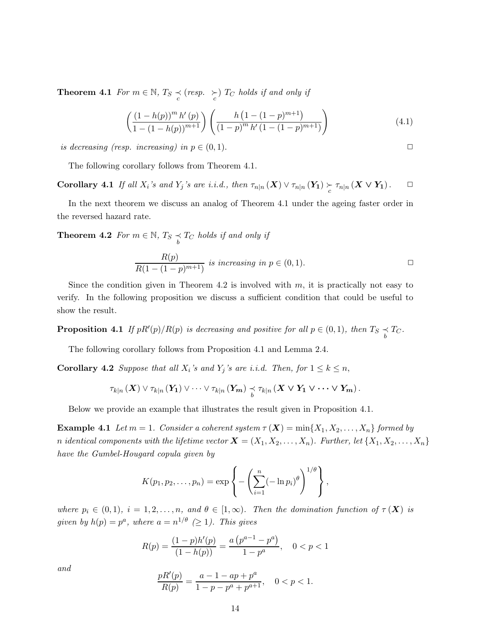**Theorem 4.1** For  $m \in \mathbb{N}$ ,  $T_S \prec_C (resp. \succ_C)$   $T_C$  holds if and only if

$$
\left(\frac{\left(1-h(p)\right)^{m} h'(p)}{1-\left(1-h(p)\right)^{m+1}}\right) \left(\frac{h\left(1-(1-p)^{m+1}\right)}{\left(1-p\right)^{m} h'\left(1-(1-p)^{m+1}\right)}\right) \tag{4.1}
$$

is decreasing (resp. increasing) in  $p \in (0,1)$ .

The following corollary follows from Theorem 4.1.

Corollary 4.1 If all  $X_i$ 's and  $Y_j$ 's are i.i.d., then  $\tau_{n|n}(X) \vee \tau_{n|n}(Y_1) \underset{c}{\succ} \tau_{n|n}(X \vee Y_1)$ .  $\Box$ 

In the next theorem we discuss an analog of Theorem 4.1 under the ageing faster order in the reversed hazard rate.

**Theorem 4.2** For  $m \in \mathbb{N}$ ,  $T_S \underset{b}{\prec} T_C$  holds if and only if

$$
\frac{R(p)}{R(1 - (1 - p)^{m+1})}
$$
 is increasing in  $p \in (0, 1)$ .

Since the condition given in Theorem 4.2 is involved with  $m$ , it is practically not easy to verify. In the following proposition we discuss a sufficient condition that could be useful to show the result.

**Proposition 4.1** If  $pR'(p)/R(p)$  is decreasing and positive for all  $p \in (0,1)$ , then  $T_S \underset{b}{\prec} T_C$ .

The following corollary follows from Proposition 4.1 and Lemma 2.4.

**Corollary 4.2** Suppose that all  $X_i$ 's and  $Y_j$ 's are i.i.d. Then, for  $1 \leq k \leq n$ ,

$$
\tau_{k|n}(X) \vee \tau_{k|n}(Y_1) \vee \cdots \vee \tau_{k|n}(Y_m) \underset{b}{\prec} \tau_{k|n}(X \vee Y_1 \vee \cdots \vee Y_m).
$$

Below we provide an example that illustrates the result given in Proposition 4.1.

**Example 4.1** Let  $m = 1$ . Consider a coherent system  $\tau(X) = \min\{X_1, X_2, \ldots, X_n\}$  formed by n identical components with the lifetime vector  $\mathbf{X} = (X_1, X_2, \ldots, X_n)$ . Further, let  $\{X_1, X_2, \ldots, X_n\}$ have the Gumbel-Hougard copula given by

$$
K(p_1, p_2, \ldots, p_n) = \exp \left\{-\left(\sum_{i=1}^n (-\ln p_i)^{\theta}\right)^{1/\theta}\right\},\,
$$

where  $p_i \in (0,1)$ ,  $i = 1,2,\ldots,n$ , and  $\theta \in [1,\infty)$ . Then the domination function of  $\tau(X)$  is given by  $h(p) = p^a$ , where  $a = n^{1/\theta} \geq 1$ ). This gives

$$
R(p) = \frac{(1-p)h'(p)}{(1-h(p))} = \frac{a(p^{a-1}-p^a)}{1-p^a}, \quad 0 < p < 1
$$

$$
\frac{pR'(p)}{R(p)}=\frac{a-1-ap+p^a}{1-p-p^a+p^{a+1}},\quad 0
$$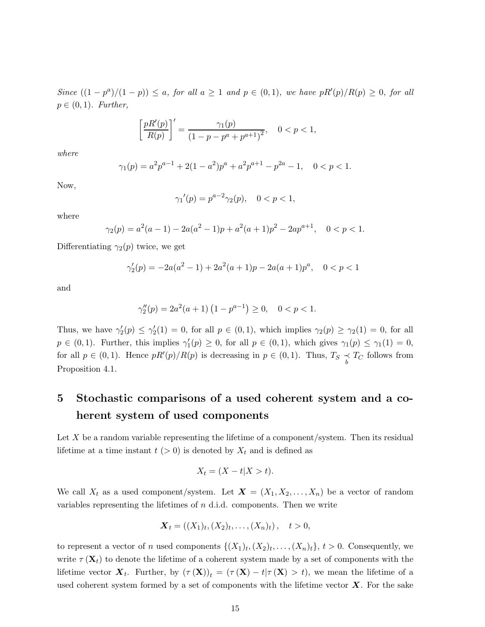Since  $((1-p^a)/(1-p)) \leq a$ , for all  $a \geq 1$  and  $p \in (0,1)$ , we have  $pR'(p)/R(p) \geq 0$ , for all  $p \in (0,1)$ . Further,

$$
\left[\frac{pR'(p)}{R(p)}\right]' = \frac{\gamma_1(p)}{(1 - p - p^a + p^{a+1})^2}, \quad 0 < p < 1,
$$

where

$$
\gamma_1(p) = a^2 p^{a-1} + 2(1 - a^2)p^a + a^2 p^{a+1} - p^{2a} - 1, \quad 0 < p < 1.
$$

Now,

$$
\gamma_1'(p) = p^{a-2}\gamma_2(p), \quad 0 < p < 1,
$$

where

$$
\gamma_2(p) = a^2(a-1) - 2a(a^2 - 1)p + a^2(a+1)p^2 - 2ap^{a+1}, \quad 0 < p < 1.
$$

Differentiating  $\gamma_2(p)$  twice, we get

$$
\gamma_2'(p) = -2a(a^2 - 1) + 2a^2(a+1)p - 2a(a+1)p^a, \quad 0 < p < 1
$$

and

$$
\gamma_2''(p) = 2a^2(a+1)\left(1 - p^{a-1}\right) \ge 0, \quad 0 < p < 1.
$$

Thus, we have  $\gamma_2'(p) \leq \gamma_2'(1) = 0$ , for all  $p \in (0,1)$ , which implies  $\gamma_2(p) \geq \gamma_2(1) = 0$ , for all  $p \in (0,1)$ . Further, this implies  $\gamma'_1(p) \geq 0$ , for all  $p \in (0,1)$ , which gives  $\gamma_1(p) \leq \gamma_1(1) = 0$ , for all  $p \in (0,1)$ . Hence  $pR'(p)/R(p)$  is decreasing in  $p \in (0,1)$ . Thus,  $T_S \underset{b}{\prec} T_C$  follows from Proposition 4.1.

## 5 Stochastic comparisons of a used coherent system and a coherent system of used components

Let  $X$  be a random variable representing the lifetime of a component/system. Then its residual lifetime at a time instant  $t > 0$  is denoted by  $X_t$  and is defined as

$$
X_t = (X - t | X > t).
$$

We call  $X_t$  as a used component/system. Let  $\mathbf{X} = (X_1, X_2, \ldots, X_n)$  be a vector of random variables representing the lifetimes of  $n$  d.i.d. components. Then we write

$$
\mathbf{X}_t = ((X_1)_t, (X_2)_t, \ldots, (X_n)_t), \quad t > 0,
$$

to represent a vector of *n* used components  $\{(X_1)_t, (X_2)_t, \ldots, (X_n)_t\}, t > 0$ . Consequently, we write  $\tau(\mathbf{X}_t)$  to denote the lifetime of a coherent system made by a set of components with the lifetime vector  $\mathbf{X}_t$ . Further, by  $(\tau(\mathbf{X}))_t = (\tau(\mathbf{X}) - t | \tau(\mathbf{X}) > t)$ , we mean the lifetime of a used coherent system formed by a set of components with the lifetime vector  $\boldsymbol{X}$ . For the sake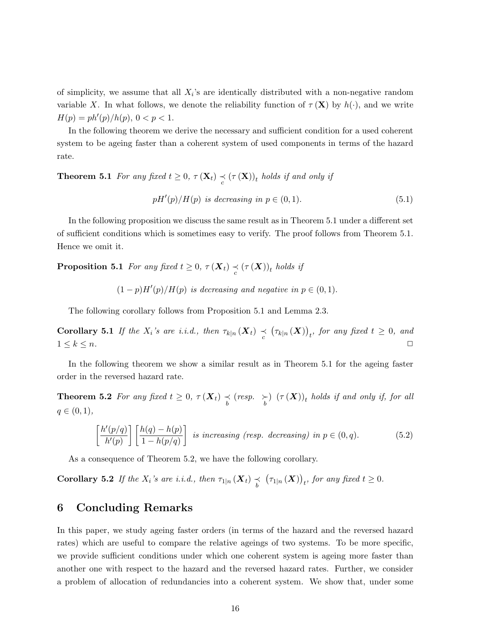of simplicity, we assume that all  $X_i$ 's are identically distributed with a non-negative random variable X. In what follows, we denote the reliability function of  $\tau(\mathbf{X})$  by  $h(\cdot)$ , and we write  $H(p) = ph'(p)/h(p), 0 < p < 1.$ 

In the following theorem we derive the necessary and sufficient condition for a used coherent system to be ageing faster than a coherent system of used components in terms of the hazard rate.

**Theorem 5.1** For any fixed  $t \geq 0$ ,  $\tau(\mathbf{X}_t) \preceq (\tau(\mathbf{X}))_t$  holds if and only if

$$
pH'(p)/H(p) \text{ is decreasing in } p \in (0,1). \tag{5.1}
$$

In the following proposition we discuss the same result as in Theorem 5.1 under a different set of sufficient conditions which is sometimes easy to verify. The proof follows from Theorem 5.1. Hence we omit it.

**Proposition 5.1** For any fixed  $t \geq 0$ ,  $\tau(\boldsymbol{X}_t) \preceq (\tau(\boldsymbol{X}))_t$  holds if

$$
(1-p)H'(p)/H(p)
$$
 is decreasing and negative in  $p \in (0,1)$ .

The following corollary follows from Proposition 5.1 and Lemma 2.3.

**Corollary 5.1** If the  $X_i$ 's are i.i.d., then  $\tau_{k|n}(\boldsymbol{X}_t) \preceq (\tau_{k|n}(\boldsymbol{X}))_t$ , for any fixed  $t \geq 0$ , and  $1 \leq k \leq n$ .

In the following theorem we show a similar result as in Theorem 5.1 for the ageing faster order in the reversed hazard rate.

**Theorem 5.2** For any fixed  $t \geq 0$ ,  $\tau(\boldsymbol{X}_t) \preceq (resp. \succ_{b}) (\tau(\boldsymbol{X}))_t$  holds if and only if, for all  $q \in (0, 1),$ 

$$
\left[\frac{h'(p/q)}{h'(p)}\right] \left[\frac{h(q) - h(p)}{1 - h(p/q)}\right] \text{ is increasing (resp. decreasing) in } p \in (0, q). \tag{5.2}
$$

As a consequence of Theorem 5.2, we have the following corollary.

**Corollary 5.2** If the  $X_i$ 's are i.i.d., then  $\tau_{1|n}(\boldsymbol{X}_t) \preceq (\tau_{1|n}(\boldsymbol{X}))_t$ , for any fixed  $t \geq 0$ .

## 6 Concluding Remarks

In this paper, we study ageing faster orders (in terms of the hazard and the reversed hazard rates) which are useful to compare the relative ageings of two systems. To be more specific, we provide sufficient conditions under which one coherent system is ageing more faster than another one with respect to the hazard and the reversed hazard rates. Further, we consider a problem of allocation of redundancies into a coherent system. We show that, under some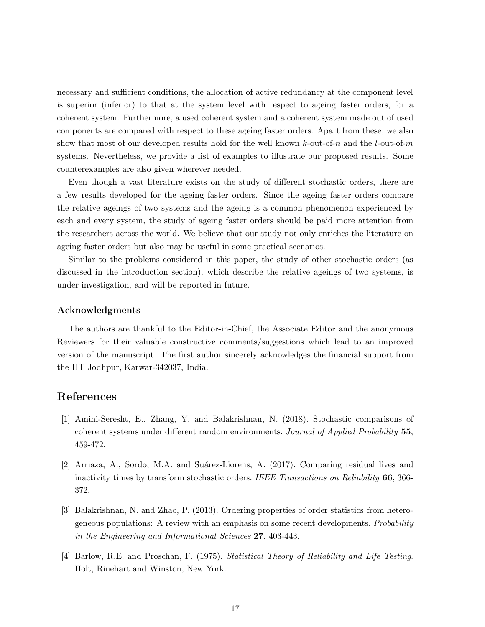necessary and sufficient conditions, the allocation of active redundancy at the component level is superior (inferior) to that at the system level with respect to ageing faster orders, for a coherent system. Furthermore, a used coherent system and a coherent system made out of used components are compared with respect to these ageing faster orders. Apart from these, we also show that most of our developed results hold for the well known  $k$ -out-of-n and the l-out-of-m systems. Nevertheless, we provide a list of examples to illustrate our proposed results. Some counterexamples are also given wherever needed.

Even though a vast literature exists on the study of different stochastic orders, there are a few results developed for the ageing faster orders. Since the ageing faster orders compare the relative ageings of two systems and the ageing is a common phenomenon experienced by each and every system, the study of ageing faster orders should be paid more attention from the researchers across the world. We believe that our study not only enriches the literature on ageing faster orders but also may be useful in some practical scenarios.

Similar to the problems considered in this paper, the study of other stochastic orders (as discussed in the introduction section), which describe the relative ageings of two systems, is under investigation, and will be reported in future.

#### Acknowledgments

The authors are thankful to the Editor-in-Chief, the Associate Editor and the anonymous Reviewers for their valuable constructive comments/suggestions which lead to an improved version of the manuscript. The first author sincerely acknowledges the financial support from the IIT Jodhpur, Karwar-342037, India.

### References

- [1] Amini-Seresht, E., Zhang, Y. and Balakrishnan, N. (2018). Stochastic comparisons of coherent systems under different random environments. Journal of Applied Probability 55, 459-472.
- [2] Arriaza, A., Sordo, M.A. and Suárez-Liorens, A. (2017). Comparing residual lives and inactivity times by transform stochastic orders. IEEE Transactions on Reliability 66, 366- 372.
- [3] Balakrishnan, N. and Zhao, P. (2013). Ordering properties of order statistics from heterogeneous populations: A review with an emphasis on some recent developments. Probability in the Engineering and Informational Sciences 27, 403-443.
- [4] Barlow, R.E. and Proschan, F. (1975). Statistical Theory of Reliability and Life Testing. Holt, Rinehart and Winston, New York.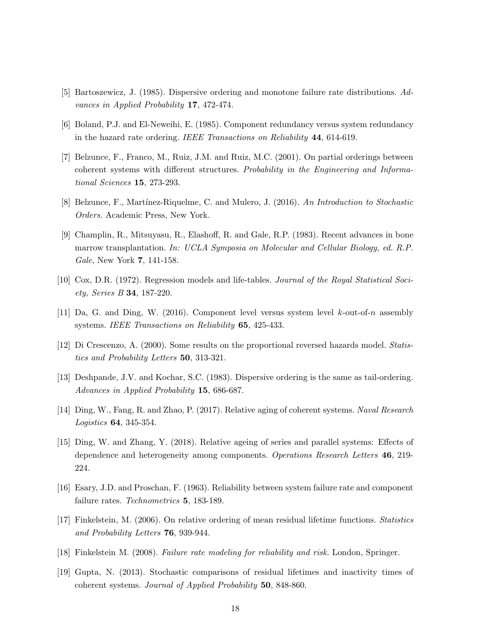- [5] Bartoszewicz, J. (1985). Dispersive ordering and monotone failure rate distributions. Advances in Applied Probability 17, 472-474.
- [6] Boland, P.J. and El-Neweihi, E. (1985). Component redundancy versus system redundancy in the hazard rate ordering. IEEE Transactions on Reliability 44, 614-619.
- [7] Belzunce, F., Franco, M., Ruiz, J.M. and Ruiz, M.C. (2001). On partial orderings between coherent systems with different structures. Probability in the Engineering and Informational Sciences 15, 273-293.
- [8] Belzunce, F., Martínez-Riquelme, C. and Mulero, J. (2016). An Introduction to Stochastic Orders. Academic Press, New York.
- [9] Champlin, R., Mitsuyasu, R., Elashoff, R. and Gale, R.P. (1983). Recent advances in bone marrow transplantation. In: UCLA Symposia on Molecular and Cellular Biology, ed. R.P. Gale, New York 7, 141-158.
- [10] Cox, D.R. (1972). Regression models and life-tables. Journal of the Royal Statistical Society, Series B 34, 187-220.
- [11] Da, G. and Ding, W. (2016). Component level versus system level k-out-of-n assembly systems. IEEE Transactions on Reliability 65, 425-433.
- [12] Di Crescenzo, A. (2000). Some results on the proportional reversed hazards model. Statistics and Probability Letters 50, 313-321.
- [13] Deshpande, J.V. and Kochar, S.C. (1983). Dispersive ordering is the same as tail-ordering. Advances in Applied Probability 15, 686-687.
- [14] Ding, W., Fang, R. and Zhao, P. (2017). Relative aging of coherent systems. Naval Research Logistics 64, 345-354.
- [15] Ding, W. and Zhang, Y. (2018). Relative ageing of series and parallel systems: Effects of dependence and heterogeneity among components. Operations Research Letters 46, 219- 224.
- [16] Esary, J.D. and Proschan, F. (1963). Reliability between system failure rate and component failure rates. *Technometrics* **5**, 183-189.
- [17] Finkelstein, M. (2006). On relative ordering of mean residual lifetime functions. Statistics and Probability Letters 76, 939-944.
- [18] Finkelstein M. (2008). Failure rate modeling for reliability and risk. London, Springer.
- [19] Gupta, N. (2013). Stochastic comparisons of residual lifetimes and inactivity times of coherent systems. Journal of Applied Probability 50, 848-860.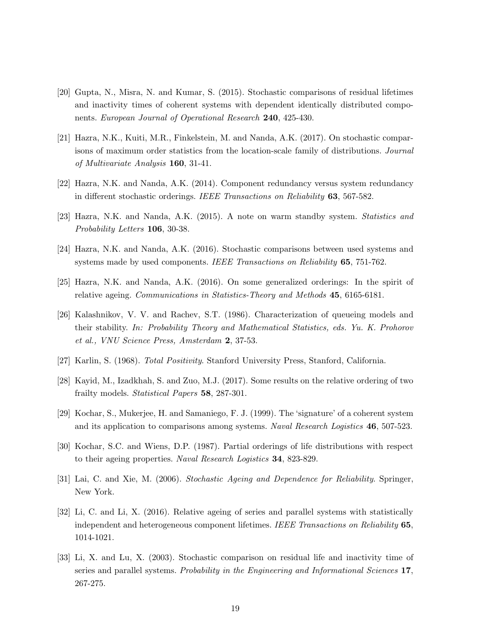- [20] Gupta, N., Misra, N. and Kumar, S. (2015). Stochastic comparisons of residual lifetimes and inactivity times of coherent systems with dependent identically distributed components. European Journal of Operational Research 240, 425-430.
- [21] Hazra, N.K., Kuiti, M.R., Finkelstein, M. and Nanda, A.K. (2017). On stochastic comparisons of maximum order statistics from the location-scale family of distributions. Journal of Multivariate Analysis 160, 31-41.
- [22] Hazra, N.K. and Nanda, A.K. (2014). Component redundancy versus system redundancy in different stochastic orderings. IEEE Transactions on Reliability 63, 567-582.
- [23] Hazra, N.K. and Nanda, A.K. (2015). A note on warm standby system. Statistics and Probability Letters 106, 30-38.
- [24] Hazra, N.K. and Nanda, A.K. (2016). Stochastic comparisons between used systems and systems made by used components. IEEE Transactions on Reliability 65, 751-762.
- [25] Hazra, N.K. and Nanda, A.K. (2016). On some generalized orderings: In the spirit of relative ageing. Communications in Statistics-Theory and Methods 45, 6165-6181.
- [26] Kalashnikov, V. V. and Rachev, S.T. (1986). Characterization of queueing models and their stability. In: Probability Theory and Mathematical Statistics, eds. Yu. K. Prohorov et al., VNU Science Press, Amsterdam 2, 37-53.
- [27] Karlin, S. (1968). Total Positivity. Stanford University Press, Stanford, California.
- [28] Kayid, M., Izadkhah, S. and Zuo, M.J. (2017). Some results on the relative ordering of two frailty models. Statistical Papers 58, 287-301.
- [29] Kochar, S., Mukerjee, H. and Samaniego, F. J. (1999). The 'signature' of a coherent system and its application to comparisons among systems. Naval Research Logistics 46, 507-523.
- [30] Kochar, S.C. and Wiens, D.P. (1987). Partial orderings of life distributions with respect to their ageing properties. Naval Research Logistics 34, 823-829.
- [31] Lai, C. and Xie, M. (2006). Stochastic Ageing and Dependence for Reliability. Springer, New York.
- [32] Li, C. and Li, X. (2016). Relative ageing of series and parallel systems with statistically independent and heterogeneous component lifetimes. IEEE Transactions on Reliability 65, 1014-1021.
- [33] Li, X. and Lu, X. (2003). Stochastic comparison on residual life and inactivity time of series and parallel systems. Probability in the Engineering and Informational Sciences 17, 267-275.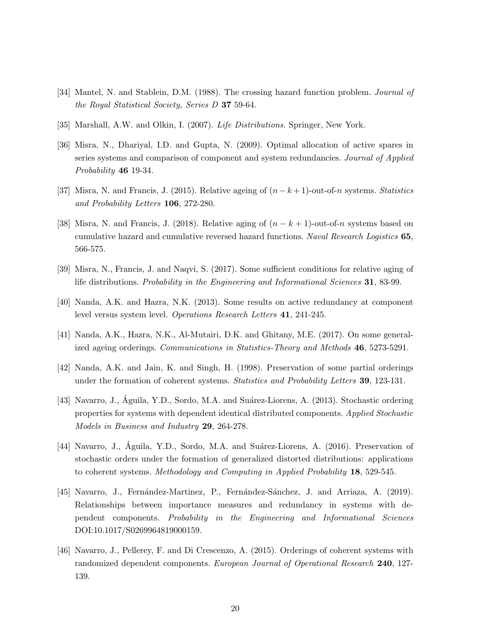- [34] Mantel, N. and Stablein, D.M. (1988). The crossing hazard function problem. *Journal of* the Royal Statistical Society, Series D 37 59-64.
- [35] Marshall, A.W. and Olkin, I. (2007). Life Distributions. Springer, New York.
- [36] Misra, N., Dhariyal, I.D. and Gupta, N. (2009). Optimal allocation of active spares in series systems and comparison of component and system redundancies. Journal of Applied Probability 46 19-34.
- [37] Misra, N. and Francis, J. (2015). Relative ageing of  $(n k + 1)$ -out-of-n systems. Statistics and Probability Letters 106, 272-280.
- [38] Misra, N. and Francis, J. (2018). Relative aging of  $(n k + 1)$ -out-of-n systems based on cumulative hazard and cumulative reversed hazard functions. Naval Research Logistics 65, 566-575.
- [39] Misra, N., Francis, J. and Naqvi, S. (2017). Some sufficient conditions for relative aging of life distributions. Probability in the Engineering and Informational Sciences 31, 83-99.
- [40] Nanda, A.K. and Hazra, N.K. (2013). Some results on active redundancy at component level versus system level. Operations Research Letters 41, 241-245.
- [41] Nanda, A.K., Hazra, N.K., Al-Mutairi, D.K. and Ghitany, M.E. (2017). On some generalized ageing orderings. Communications in Statistics-Theory and Methods 46, 5273-5291.
- [42] Nanda, A.K. and Jain, K. and Singh, H. (1998). Preservation of some partial orderings under the formation of coherent systems. Statistics and Probability Letters 39, 123-131.
- [43] Navarro, J., Águila, Y.D., Sordo, M.A. and Suárez-Liorens, A. (2013). Stochastic ordering properties for systems with dependent identical distributed components. Applied Stochastic Models in Business and Industry 29, 264-278.
- [44] Navarro, J., Águila, Y.D., Sordo, M.A. and Suárez-Liorens, A. (2016). Preservation of stochastic orders under the formation of generalized distorted distributions: applications to coherent systems. Methodology and Computing in Applied Probability 18, 529-545.
- [45] Navarro, J., Fernández-Martinez, P., Fernández-Sánchez, J. and Arriaza, A. (2019). Relationships between importance measures and redundancy in systems with dependent components. Probability in the Engineering and Informational Sciences DOI:10.1017/S0269964819000159.
- [46] Navarro, J., Pellerey, F. and Di Crescenzo, A. (2015). Orderings of coherent systems with randomized dependent components. European Journal of Operational Research 240, 127-139.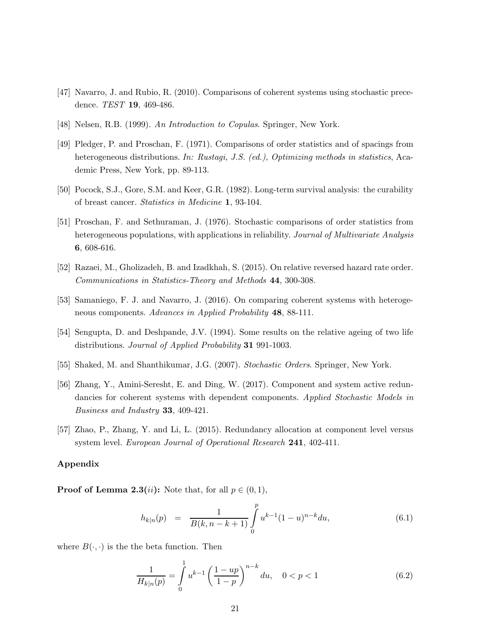- [47] Navarro, J. and Rubio, R. (2010). Comparisons of coherent systems using stochastic precedence. TEST 19, 469-486.
- [48] Nelsen, R.B. (1999). An Introduction to Copulas. Springer, New York.
- [49] Pledger, P. and Proschan, F. (1971). Comparisons of order statistics and of spacings from heterogeneous distributions. In: Rustagi, J.S. (ed.), Optimizing methods in statistics, Academic Press, New York, pp. 89-113.
- [50] Pocock, S.J., Gore, S.M. and Keer, G.R. (1982). Long-term survival analysis: the curability of breast cancer. Statistics in Medicine 1, 93-104.
- [51] Proschan, F. and Sethuraman, J. (1976). Stochastic comparisons of order statistics from heterogeneous populations, with applications in reliability. Journal of Multivariate Analysis 6, 608-616.
- [52] Razaei, M., Gholizadeh, B. and Izadkhah, S. (2015). On relative reversed hazard rate order. Communications in Statistics-Theory and Methods 44, 300-308.
- [53] Samaniego, F. J. and Navarro, J. (2016). On comparing coherent systems with heterogeneous components. Advances in Applied Probability 48, 88-111.
- [54] Sengupta, D. and Deshpande, J.V. (1994). Some results on the relative ageing of two life distributions. Journal of Applied Probability 31 991-1003.
- [55] Shaked, M. and Shanthikumar, J.G. (2007). Stochastic Orders. Springer, New York.
- [56] Zhang, Y., Amini-Seresht, E. and Ding, W. (2017). Component and system active redundancies for coherent systems with dependent components. Applied Stochastic Models in Business and Industry 33, 409-421.
- [57] Zhao, P., Zhang, Y. and Li, L. (2015). Redundancy allocation at component level versus system level. European Journal of Operational Research 241, 402-411.

#### Appendix

**Proof of Lemma 2.3**(*ii*): Note that, for all  $p \in (0,1)$ ,

$$
h_{k|n}(p) = \frac{1}{B(k, n-k+1)} \int_{0}^{p} u^{k-1} (1-u)^{n-k} du,
$$
\n(6.1)

where  $B(\cdot, \cdot)$  is the the beta function. Then

$$
\frac{1}{H_{k|n}(p)} = \int_{0}^{1} u^{k-1} \left(\frac{1 - up}{1 - p}\right)^{n - k} du, \quad 0 < p < 1 \tag{6.2}
$$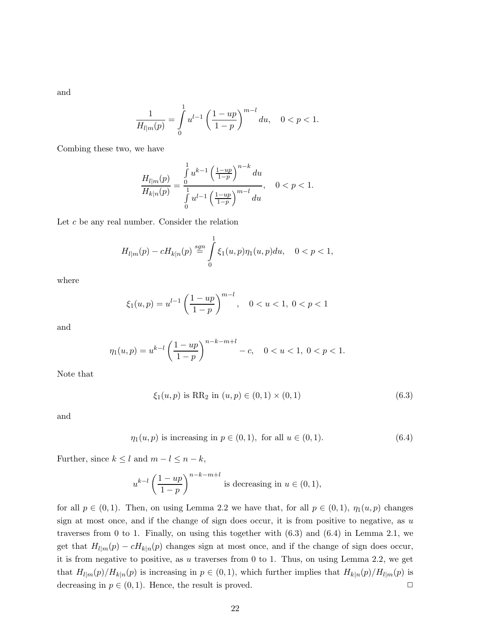and

$$
\frac{1}{H_{l|m}(p)} = \int_{0}^{1} u^{l-1} \left(\frac{1 - up}{1 - p}\right)^{m-l} du, \quad 0 < p < 1.
$$

Combing these two, we have

$$
\frac{H_{l|m}(p)}{H_{k|n}(p)} = \frac{\int_{0}^{1} u^{k-1} \left(\frac{1-up}{1-p}\right)^{n-k} du}{\int_{0}^{1} u^{l-1} \left(\frac{1-up}{1-p}\right)^{m-l} du}, \quad 0 < p < 1.
$$

Let  $c$  be any real number. Consider the relation

$$
H_{l|m}(p) - cH_{k|n}(p) \stackrel{sgn}{=} \int_{0}^{1} \xi_1(u,p)\eta_1(u,p)du, \quad 0 < p < 1,
$$

where

$$
\xi_1(u,p) = u^{l-1} \left(\frac{1 - up}{1 - p}\right)^{m-l}, \quad 0 < u < 1, \ 0 < p < 1
$$

and

$$
\eta_1(u,p) = u^{k-l} \left(\frac{1-up}{1-p}\right)^{n-k-m+l} - c, \quad 0 < u < 1, \ 0 < p < 1.
$$

Note that

$$
\xi_1(u, p) \text{ is RR}_2 \text{ in } (u, p) \in (0, 1) \times (0, 1) \tag{6.3}
$$

and

$$
\eta_1(u, p) \text{ is increasing in } p \in (0, 1), \text{ for all } u \in (0, 1). \tag{6.4}
$$

Further, since  $k \leq l$  and  $m - l \leq n - k$ ,

$$
u^{k-l}\left(\frac{1-up}{1-p}\right)^{n-k-m+l}
$$
 is decreasing in  $u \in (0,1)$ ,

for all  $p \in (0,1)$ . Then, on using Lemma 2.2 we have that, for all  $p \in (0,1)$ ,  $\eta_1(u,p)$  changes sign at most once, and if the change of sign does occur, it is from positive to negative, as  $u$ traverses from 0 to 1. Finally, on using this together with (6.3) and (6.4) in Lemma 2.1, we get that  $H_{l|m}(p) - cH_{k|n}(p)$  changes sign at most once, and if the change of sign does occur, it is from negative to positive, as  $u$  traverses from 0 to 1. Thus, on using Lemma 2.2, we get that  $H_{l|m}(p)/H_{k|n}(p)$  is increasing in  $p \in (0,1)$ , which further implies that  $H_{k|n}(p)/H_{l|m}(p)$  is decreasing in  $p \in (0, 1)$ . Hence, the result is proved.  $\Box$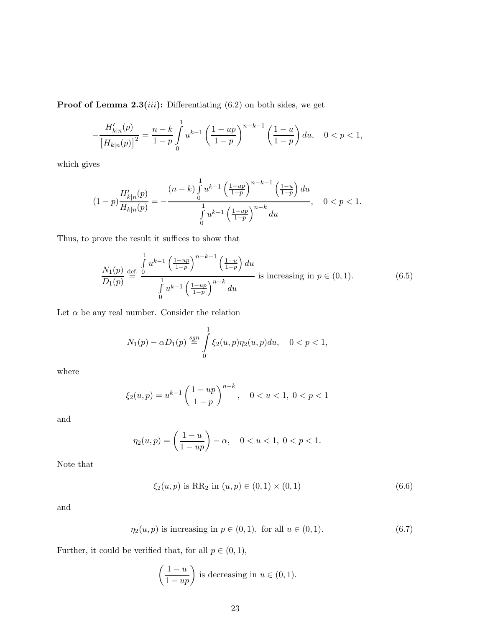**Proof of Lemma 2.3**(*iii*): Differentiating  $(6.2)$  on both sides, we get

$$
-\frac{H'_{k|n}(p)}{\left[H_{k|n}(p)\right]^2}=\frac{n-k}{1-p}\int\limits_{0}^{1}u^{k-1}\left(\frac{1-up}{1-p}\right)^{n-k-1}\left(\frac{1-u}{1-p}\right)du,\quad 0
$$

which gives

$$
(1-p)\frac{H'_{k|n}(p)}{H_{k|n}(p)} = -\frac{(n-k)\int_{0}^{1} u^{k-1} \left(\frac{1-up}{1-p}\right)^{n-k-1} \left(\frac{1-u}{1-p}\right) du}{\int_{0}^{1} u^{k-1} \left(\frac{1-up}{1-p}\right)^{n-k} du}, \quad 0 < p < 1.
$$

Thus, to prove the result it suffices to show that

$$
\frac{N_1(p)}{D_1(p)} \stackrel{\text{def.}}{=} \frac{\int_0^1 u^{k-1} \left(\frac{1-up}{1-p}\right)^{n-k-1} \left(\frac{1-u}{1-p}\right) du}{\int_0^1 u^{k-1} \left(\frac{1-up}{1-p}\right)^{n-k} du} \text{ is increasing in } p \in (0,1).
$$
 (6.5)

Let  $\alpha$  be any real number. Consider the relation

$$
N_1(p) - \alpha D_1(p) \stackrel{sgn}{=} \int_0^1 \xi_2(u, p) \eta_2(u, p) du, \quad 0 < p < 1,
$$

where

$$
\xi_2(u,p) = u^{k-1} \left(\frac{1 - up}{1 - p}\right)^{n - k}, \quad 0 < u < 1, \ 0 < p < 1
$$

and

$$
\eta_2(u, p) = \left(\frac{1-u}{1-up}\right) - \alpha, \quad 0 < u < 1, \ 0 < p < 1.
$$

Note that

$$
\xi_2(u, p) \text{ is RR}_2 \text{ in } (u, p) \in (0, 1) \times (0, 1) \tag{6.6}
$$

and

$$
\eta_2(u, p) \text{ is increasing in } p \in (0, 1), \text{ for all } u \in (0, 1). \tag{6.7}
$$

Further, it could be verified that, for all  $p\in(0,1),$ 

$$
\left(\frac{1-u}{1-up}\right)
$$
 is decreasing in  $u \in (0,1)$ .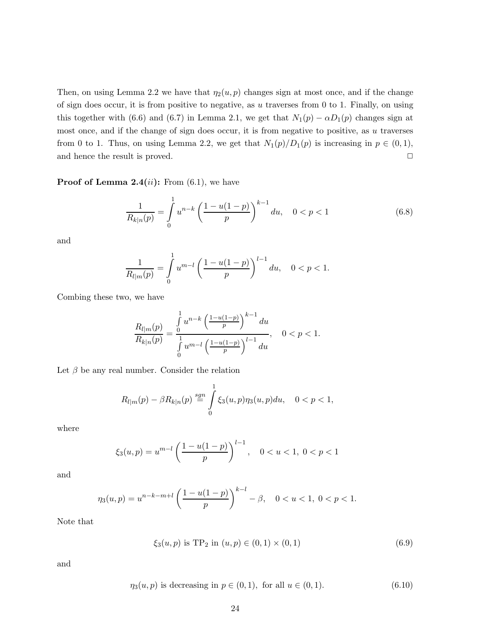Then, on using Lemma 2.2 we have that  $\eta_2(u, p)$  changes sign at most once, and if the change of sign does occur, it is from positive to negative, as  $u$  traverses from 0 to 1. Finally, on using this together with (6.6) and (6.7) in Lemma 2.1, we get that  $N_1(p) - \alpha D_1(p)$  changes sign at most once, and if the change of sign does occur, it is from negative to positive, as  $u$  traverses from 0 to 1. Thus, on using Lemma 2.2, we get that  $N_1(p)/D_1(p)$  is increasing in  $p \in (0,1)$ , and hence the result is proved.  $\Box$ 

**Proof of Lemma 2.4**(*ii*): From (6.1), we have

$$
\frac{1}{R_{k|n}(p)} = \int_{0}^{1} u^{n-k} \left(\frac{1 - u(1-p)}{p}\right)^{k-1} du, \quad 0 < p < 1 \tag{6.8}
$$

and

$$
\frac{1}{R_{l|m}(p)} = \int_{0}^{1} u^{m-l} \left(\frac{1-u(1-p)}{p}\right)^{l-1} du, \quad 0 < p < 1.
$$

Combing these two, we have

$$
\frac{R_{l|m}(p)}{R_{k|n}(p)} = \frac{\int_{0}^{1} u^{n-k} \left(\frac{1-u(1-p)}{p}\right)^{k-1} du}{\int_{0}^{1} u^{m-l} \left(\frac{1-u(1-p)}{p}\right)^{l-1} du}, \quad 0 < p < 1.
$$

Let  $\beta$  be any real number. Consider the relation

$$
R_{l|m}(p) - \beta R_{k|n}(p) \stackrel{sgn}{=} \int_{0}^{1} \xi_3(u, p)\eta_3(u, p) du, \quad 0 < p < 1,
$$

where

$$
\xi_3(u,p) = u^{m-l} \left( \frac{1 - u(1-p)}{p} \right)^{l-1}, \quad 0 < u < 1, \ 0 < p < 1
$$

and

$$
\eta_3(u,p) = u^{n-k-m+l} \left(\frac{1-u(1-p)}{p}\right)^{k-l} - \beta, \quad 0 < u < 1, \ 0 < p < 1.
$$

Note that

$$
\xi_3(u, p) \text{ is TP}_2 \text{ in } (u, p) \in (0, 1) \times (0, 1) \tag{6.9}
$$

$$
\eta_3(u, p)
$$
 is decreasing in  $p \in (0, 1)$ , for all  $u \in (0, 1)$ . (6.10)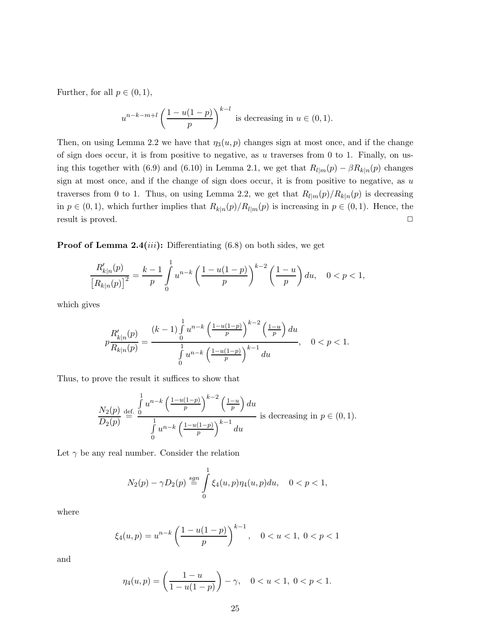Further, for all  $p \in (0, 1)$ ,

$$
u^{n-k-m+l} \left(\frac{1-u(1-p)}{p}\right)^{k-l}
$$
 is decreasing in  $u \in (0,1)$ .

Then, on using Lemma 2.2 we have that  $\eta_3(u, p)$  changes sign at most once, and if the change of sign does occur, it is from positive to negative, as  $u$  traverses from 0 to 1. Finally, on using this together with (6.9) and (6.10) in Lemma 2.1, we get that  $R_{l|m}(p) - \beta R_{k|n}(p)$  changes sign at most once, and if the change of sign does occur, it is from positive to negative, as  $u$ traverses from 0 to 1. Thus, on using Lemma 2.2, we get that  $R_{l|m}(p)/R_{k|n}(p)$  is decreasing in  $p \in (0,1)$ , which further implies that  $R_{k|n}(p)/R_{l|m}(p)$  is increasing in  $p \in (0,1)$ . Hence, the result is proved.  $\Box$ 

**Proof of Lemma 2.4**(*iii*): Differentiating  $(6.8)$  on both sides, we get

$$
\frac{R'_{k|n}(p)}{\left[R_{k|n}(p)\right]^2} = \frac{k-1}{p} \int_0^1 u^{n-k} \left(\frac{1-u(1-p)}{p}\right)^{k-2} \left(\frac{1-u}{p}\right) du, \quad 0 < p < 1,
$$

which gives

$$
p\frac{R'_{k|n}(p)}{R_{k|n}(p)} = \frac{(k-1)\int_{0}^{1} u^{n-k}\left(\frac{1-u(1-p)}{p}\right)^{k-2}\left(\frac{1-u}{p}\right)du}{\int_{0}^{1} u^{n-k}\left(\frac{1-u(1-p)}{p}\right)^{k-1}du}, \quad 0 < p < 1.
$$

Thus, to prove the result it suffices to show that

$$
\frac{N_2(p)}{D_2(p)} \stackrel{\text{def.}}{=} \frac{\int_0^1 u^{n-k} \left(\frac{1-u(1-p)}{p}\right)^{k-2} \left(\frac{1-u}{p}\right) du}{\int_0^1 u^{n-k} \left(\frac{1-u(1-p)}{p}\right)^{k-1} du}
$$
 is decreasing in  $p \in (0,1)$ .

Let  $\gamma$  be any real number. Consider the relation

$$
N_2(p) - \gamma D_2(p) \stackrel{sgn}{=} \int_0^1 \xi_4(u, p) \eta_4(u, p) du, \quad 0 < p < 1,
$$

where

$$
\xi_4(u,p) = u^{n-k} \left(\frac{1 - u(1-p)}{p}\right)^{k-1}, \quad 0 < u < 1, \ 0 < p < 1
$$

$$
\eta_4(u,p) = \left(\frac{1-u}{1-u(1-p)}\right) - \gamma, \quad 0 < u < 1, \ 0 < p < 1.
$$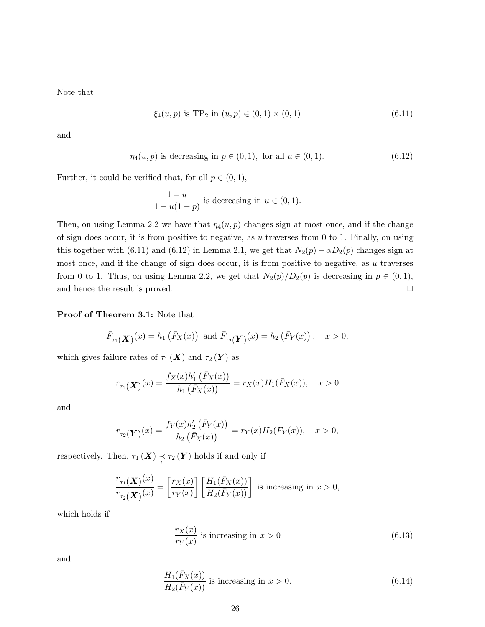Note that

$$
\xi_4(u, p) \text{ is TP}_2 \text{ in } (u, p) \in (0, 1) \times (0, 1) \tag{6.11}
$$

and

$$
\eta_4(u, p)
$$
 is decreasing in  $p \in (0, 1)$ , for all  $u \in (0, 1)$ . (6.12)

Further, it could be verified that, for all  $p \in (0, 1)$ ,

$$
\frac{1-u}{1-u(1-p)}
$$
 is decreasing in  $u \in (0,1)$ .

Then, on using Lemma 2.2 we have that  $\eta_4(u, p)$  changes sign at most once, and if the change of sign does occur, it is from positive to negative, as u traverses from 0 to 1. Finally, on using this together with (6.11) and (6.12) in Lemma 2.1, we get that  $N_2(p) - \alpha D_2(p)$  changes sign at most once, and if the change of sign does occur, it is from positive to negative, as  $u$  traverses from 0 to 1. Thus, on using Lemma 2.2, we get that  $N_2(p)/D_2(p)$  is decreasing in  $p \in (0,1)$ , and hence the result is proved.  $\Box$ 

#### Proof of Theorem 3.1: Note that

$$
\bar{F}_{\tau_1}(\mathbf{X})(x) = h_1(\bar{F}_X(x))
$$
 and  $\bar{F}_{\tau_2}(\mathbf{Y})(x) = h_2(\bar{F}_Y(x))$ ,  $x > 0$ ,

which gives failure rates of  $\tau_1(X)$  and  $\tau_2(Y)$  as

$$
r_{\tau_1}(\mathbf{X})}(x) = \frac{f_X(x)h'_1(\bar{F}_X(x))}{h_1(\bar{F}_X(x))} = r_X(x)H_1(\bar{F}_X(x)), \quad x > 0
$$

and

$$
r_{\tau_2}(\mathbf{Y})(x) = \frac{f_Y(x)h'_2(\bar{F}_Y(x))}{h_2(\bar{F}_X(x))} = r_Y(x)H_2(\bar{F}_Y(x)), \quad x > 0,
$$

respectively. Then,  $\tau_1(X) \underset{c}{\prec} \tau_2(Y)$  holds if and only if

$$
\frac{r_{\tau_1}(\mathbf{X})^{(x)}}{r_{\tau_2}(\mathbf{X})^{(x)}} = \left[\frac{r_X(x)}{r_Y(x)}\right] \left[\frac{H_1(\bar{F}_X(x))}{H_2(\bar{F}_Y(x))}\right] \text{ is increasing in } x > 0,
$$

which holds if

$$
\frac{r_X(x)}{r_Y(x)}
$$
 is increasing in  $x > 0$  (6.13)

$$
\frac{H_1(\bar{F}_X(x))}{H_2(\bar{F}_Y(x))}
$$
 is increasing in  $x > 0$ . (6.14)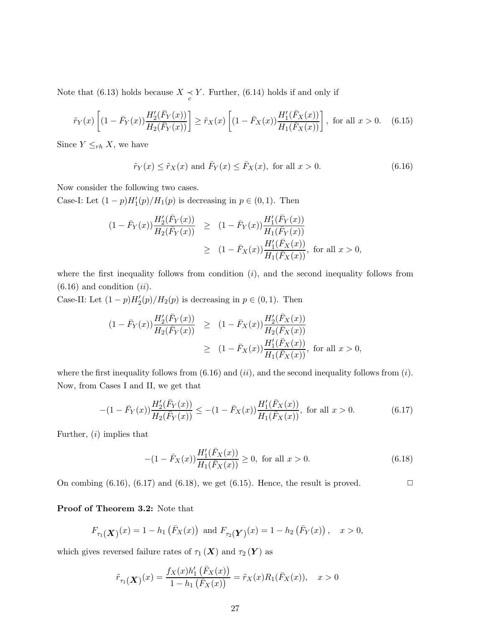Note that (6.13) holds because  $X \underset{c}{\prec} Y$ . Further, (6.14) holds if and only if

$$
\tilde{r}_Y(x) \left[ (1 - \bar{F}_Y(x)) \frac{H_2'(\bar{F}_Y(x))}{H_2(\bar{F}_Y(x))} \right] \ge \tilde{r}_X(x) \left[ (1 - \bar{F}_X(x)) \frac{H_1'(\bar{F}_X(x))}{H_1(\bar{F}_X(x))} \right], \text{ for all } x > 0. \quad (6.15)
$$

Since  $Y \leq_{rh} X$ , we have

$$
\tilde{r}_Y(x) \le \tilde{r}_X(x) \text{ and } \bar{F}_Y(x) \le \bar{F}_X(x), \text{ for all } x > 0.
$$
\n
$$
(6.16)
$$

Now consider the following two cases.

Case-I: Let  $(1-p)H'_{1}(p)/H_{1}(p)$  is decreasing in  $p \in (0,1)$ . Then

$$
(1 - \bar{F}_Y(x)) \frac{H'_2(\bar{F}_Y(x))}{H_2(\bar{F}_Y(x))} \ge (1 - \bar{F}_Y(x)) \frac{H'_1(\bar{F}_Y(x))}{H_1(\bar{F}_Y(x))}
$$
  
 
$$
\ge (1 - \bar{F}_X(x)) \frac{H'_1(\bar{F}_X(x))}{H_1(\bar{F}_X(x))}, \text{ for all } x > 0,
$$

where the first inequality follows from condition  $(i)$ , and the second inequality follows from  $(6.16)$  and condition  $(ii)$ .

Case-II: Let  $(1-p)H'_{2}(p)/H_{2}(p)$  is decreasing in  $p \in (0,1)$ . Then

$$
(1 - \bar{F}_Y(x)) \frac{H'_2(\bar{F}_Y(x))}{H_2(\bar{F}_Y(x))} \ge (1 - \bar{F}_X(x)) \frac{H'_2(\bar{F}_X(x))}{H_2(\bar{F}_X(x))}
$$
  
 
$$
\ge (1 - \bar{F}_X(x)) \frac{H'_1(\bar{F}_X(x))}{H_1(\bar{F}_X(x))}, \text{ for all } x > 0,
$$

where the first inequality follows from  $(6.16)$  and  $(ii)$ , and the second inequality follows from  $(i)$ . Now, from Cases I and II, we get that

$$
-(1 - \bar{F}_Y(x))\frac{H_2'(\bar{F}_Y(x))}{H_2(\bar{F}_Y(x))} \le -(1 - \bar{F}_X(x))\frac{H_1'(\bar{F}_X(x))}{H_1(\bar{F}_X(x))}, \text{ for all } x > 0.
$$
 (6.17)

Further,  $(i)$  implies that

$$
-(1 - \bar{F}_X(x))\frac{H'_1(\bar{F}_X(x))}{H_1(\bar{F}_X(x))} \ge 0, \text{ for all } x > 0.
$$
 (6.18)

On combing  $(6.16)$ ,  $(6.17)$  and  $(6.18)$ , we get  $(6.15)$ . Hence, the result is proved.

Proof of Theorem 3.2: Note that

$$
F_{\tau_1}(\mathbf{X})(x) = 1 - h_1(F_X(x))
$$
 and  $F_{\tau_2}(\mathbf{Y})(x) = 1 - h_2(F_Y(x)),$   $x > 0,$ 

which gives reversed failure rates of  $\tau_1(X)$  and  $\tau_2(Y)$  as

$$
\tilde{r}_{\tau_1}(\mathbf{X})}(x) = \frac{f_X(x)h'_1(\bar{F}_X(x))}{1 - h_1(\bar{F}_X(x))} = \tilde{r}_X(x)R_1(\bar{F}_X(x)), \quad x > 0
$$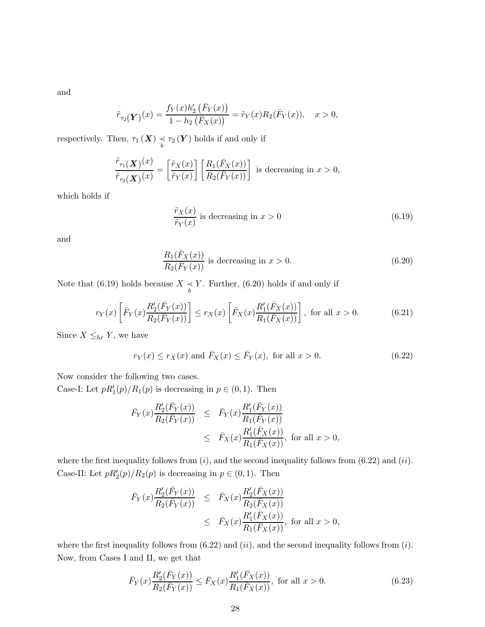and

$$
\tilde{r}_{\tau_2}(\boldsymbol{Y})(x) = \frac{f_Y(x)h'_2\left(\bar{F}_Y(x)\right)}{1 - h_2\left(\bar{F}_X(x)\right)} = \tilde{r}_Y(x)R_2(\bar{F}_Y(x)), \quad x > 0,
$$

respectively. Then,  $\tau_1(X) \underset{b}{\prec} \tau_2(Y)$  holds if and only if

$$
\frac{\tilde{r}_{\tau_1}(\boldsymbol{X})^{(x)}}{\tilde{r}_{\tau_2}(\boldsymbol{X})^{(x)}} = \left[\frac{\tilde{r}_{X}(x)}{\tilde{r}_{Y}(x)}\right] \left[\frac{R_1(\bar{F}_{X}(x))}{R_2(\bar{F}_{Y}(x))}\right] \text{ is decreasing in } x > 0,
$$

which holds if

$$
\frac{\tilde{r}_X(x)}{\tilde{r}_Y(x)}
$$
 is decreasing in  $x > 0$  (6.19)

and

$$
\frac{R_1(\bar{F}_X(x))}{R_2(\bar{F}_Y(x))}
$$
 is decreasing in  $x > 0$ . (6.20)

Note that (6.19) holds because  $X \underset{b}{\prec} Y$ . Further, (6.20) holds if and only if

$$
r_Y(x) \left[ \bar{F}_Y(x) \frac{R'_2(\bar{F}_Y(x))}{R_2(\bar{F}_Y(x))} \right] \le r_X(x) \left[ \bar{F}_X(x) \frac{R'_1(\bar{F}_X(x))}{R_1(\bar{F}_X(x))} \right], \text{ for all } x > 0.
$$
 (6.21)

Since  $X \leq_{hr} Y$ , we have

$$
r_Y(x) \le r_X(x) \text{ and } \overline{F}_X(x) \le \overline{F}_Y(x), \text{ for all } x > 0.
$$
 (6.22)

Now consider the following two cases.

Case-I: Let  $pR'_1(p)/R_1(p)$  is decreasing in  $p \in (0,1)$ . Then

$$
\begin{array}{rcl}\n\bar{F}_Y(x) \frac{R'_2(\bar{F}_Y(x))}{R_2(\bar{F}_Y(x))} & \leq & \bar{F}_Y(x) \frac{R'_1(\bar{F}_Y(x))}{R_1(\bar{F}_Y(x))} \\
& \leq & \bar{F}_X(x) \frac{R'_1(\bar{F}_X(x))}{R_1(\bar{F}_X(x))}, \text{ for all } x > 0,\n\end{array}
$$

where the first inequality follows from  $(i)$ , and the second inequality follows from  $(6.22)$  and  $(ii)$ . Case-II: Let  $pR'_2(p)/R_2(p)$  is decreasing in  $p \in (0,1)$ . Then

$$
\begin{array}{rcl}\n\bar{F}_Y(x) \frac{R'_2(\bar{F}_Y(x))}{R_2(\bar{F}_Y(x))} & \leq & \bar{F}_X(x) \frac{R'_2(\bar{F}_X(x))}{R_2(\bar{F}_X(x))} \\
& \leq & \bar{F}_X(x) \frac{R'_1(\bar{F}_X(x))}{R_1(\bar{F}_X(x))}, \text{ for all } x > 0,\n\end{array}
$$

where the first inequality follows from  $(6.22)$  and  $(ii)$ , and the second inequality follows from  $(i)$ . Now, from Cases I and II, we get that

$$
\bar{F}_Y(x)\frac{R_2'(\bar{F}_Y(x))}{R_2(\bar{F}_Y(x))} \le \bar{F}_X(x)\frac{R_1'(\bar{F}_X(x))}{R_1(\bar{F}_X(x))}, \text{ for all } x > 0.
$$
\n(6.23)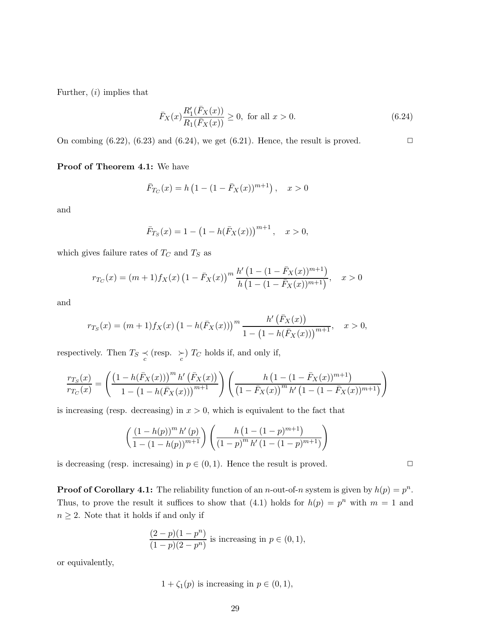Further,  $(i)$  implies that

$$
\bar{F}_X(x)\frac{R_1'(\bar{F}_X(x))}{R_1(\bar{F}_X(x))} \ge 0, \text{ for all } x > 0.
$$
\n(6.24)

On combing  $(6.22)$ ,  $(6.23)$  and  $(6.24)$ , we get  $(6.21)$ . Hence, the result is proved.

Proof of Theorem 4.1: We have

$$
\bar{F}_{T_C}(x) = h\left(1 - (1 - \bar{F}_X(x))^{m+1}\right), \quad x > 0
$$

and

$$
\bar{F}_{T_S}(x) = 1 - (1 - h(\bar{F}_X(x)))^{m+1}, \quad x > 0,
$$

which gives failure rates of  $T_C$  and  $T_S$  as

$$
r_{T_C}(x) = (m+1)f_X(x)\left(1 - \bar{F}_X(x)\right)^m \frac{h'\left(1 - (1 - \bar{F}_X(x))^{m+1}\right)}{h\left(1 - (1 - \bar{F}_X(x))^{m+1}\right)}, \quad x > 0
$$

and

$$
r_{T_S}(x) = (m+1)f_X(x) \left(1 - h(\bar{F}_X(x))\right)^m \frac{h'\left(\bar{F}_X(x)\right)}{1 - \left(1 - h(\bar{F}_X(x))\right)^{m+1}}, \quad x > 0,
$$

respectively. Then  $T_S \preceq$  (resp.  $\succeq$ )  $T_C$  holds if, and only if,

$$
\frac{r_{T_S}(x)}{r_{T_C}(x)} = \left(\frac{\left(1 - h(\bar{F}_X(x))\right)^m h'\left(\bar{F}_X(x)\right)}{1 - \left(1 - h(\bar{F}_X(x))\right)^{m+1}}\right) \left(\frac{h\left(1 - (1 - \bar{F}_X(x))^{m+1}\right)}{\left(1 - \bar{F}_X(x)\right)^m h'\left(1 - (1 - \bar{F}_X(x))^{m+1}\right)}\right)
$$

is increasing (resp. decreasing) in  $x > 0$ , which is equivalent to the fact that

$$
\left(\frac{\left(1-h(p)\right)^{m} h'(p)}{1-\left(1-h(p)\right)^{m+1}}\right) \left(\frac{h\left(1-(1-p)^{m+1}\right)}{\left(1-p\right)^{m} h'\left(1-(1-p)^{m+1}\right)}\right)
$$

is decreasing (resp. increasing) in  $p \in (0,1)$ . Hence the result is proved.

**Proof of Corollary 4.1:** The reliability function of an *n*-out-of-*n* system is given by  $h(p) = p^n$ . Thus, to prove the result it suffices to show that (4.1) holds for  $h(p) = p^n$  with  $m = 1$  and  $n \geq 2$ . Note that it holds if and only if

$$
\frac{(2-p)(1-p^n)}{(1-p)(2-p^n)}
$$
 is increasing in  $p \in (0,1)$ ,

or equivalently,

$$
1 + \zeta_1(p)
$$
 is increasing in  $p \in (0, 1)$ ,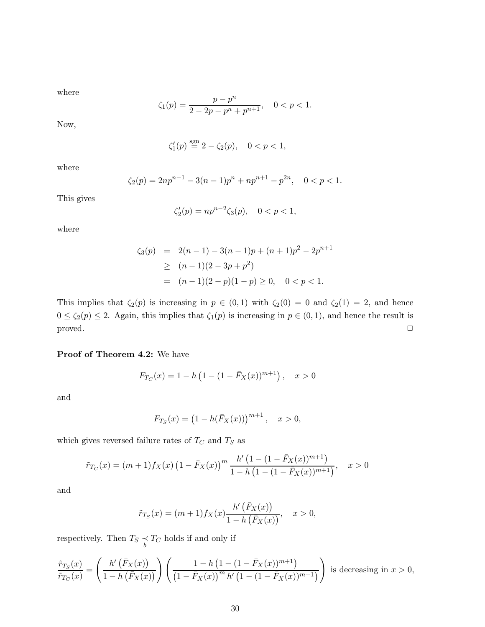where

$$
\zeta_1(p) = \frac{p - p^n}{2 - 2p - p^n + p^{n+1}}, \quad 0 < p < 1.
$$

Now,

$$
\zeta_1'(p)\stackrel{\rm sgn}{=} 2-\zeta_2(p),\quad 0
$$

where

$$
\zeta_2(p) = 2np^{n-1} - 3(n-1)p^n + np^{n+1} - p^{2n}, \quad 0 < p < 1.
$$

This gives

$$
\zeta_2'(p) = np^{n-2}\zeta_3(p), \quad 0 < p < 1,
$$

where

$$
\zeta_3(p) = 2(n-1) - 3(n-1)p + (n+1)p^2 - 2p^{n+1}
$$
  
\n
$$
\geq (n-1)(2-3p+p^2)
$$
  
\n
$$
= (n-1)(2-p)(1-p) \geq 0, \quad 0 < p < 1.
$$

This implies that  $\zeta_2(p)$  is increasing in  $p \in (0,1)$  with  $\zeta_2(0) = 0$  and  $\zeta_2(1) = 2$ , and hence  $0 \le \zeta_2(p) \le 2$ . Again, this implies that  $\zeta_1(p)$  is increasing in  $p \in (0,1)$ , and hence the result is  $\Box$ 

#### Proof of Theorem 4.2: We have

$$
F_{T_C}(x) = 1 - h\left(1 - (1 - \bar{F}_X(x))^{m+1}\right), \quad x > 0
$$

and

$$
F_{T_S}(x) = (1 - h(\bar{F}_X(x)))^{m+1}, \quad x > 0,
$$

which gives reversed failure rates of  $T_C$  and  $T_S$  as

$$
\tilde{r}_{T_C}(x) = (m+1)f_X(x)\left(1 - \bar{F}_X(x)\right)^m \frac{h'\left(1 - (1 - \bar{F}_X(x))^{m+1}\right)}{1 - h\left(1 - (1 - \bar{F}_X(x))^{m+1}\right)}, \quad x > 0
$$

and

$$
\tilde{r}_{T_S}(x) = (m+1) f_X(x) \frac{h'\left(\bar{F}_X(x)\right)}{1-h\left(\bar{F}_X(x)\right)}, \quad x > 0,
$$

respectively. Then  $T_S \underset{b}{\prec} T_C$  holds if and only if

$$
\frac{\tilde{r}_{T_S}(x)}{\tilde{r}_{T_C}(x)} = \left(\frac{h'\left(\bar{F}_X(x)\right)}{1-h\left(\bar{F}_X(x)\right)}\right)\left(\frac{1-h\left(1-(1-\bar{F}_X(x))^{m+1}\right)}{\left(1-\bar{F}_X(x)\right)^m h'\left(1-(1-\bar{F}_X(x))^{m+1}\right)}\right)
$$
 is decreasing in  $x > 0$ ,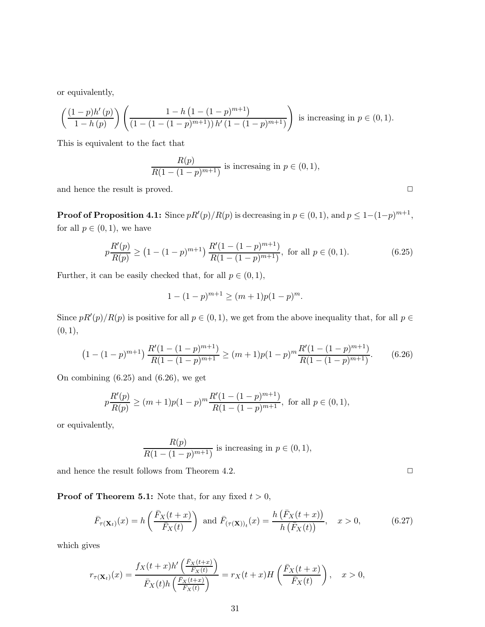or equivalently,

$$
\left(\frac{(1-p)h'(p)}{1-h(p)}\right)\left(\frac{1-h\left(1-(1-p)^{m+1}\right)}{(1-(1-(1-p)^{m+1}))h'(1-(1-p)^{m+1})}\right)
$$
 is increasing in  $p \in (0,1)$ .

This is equivalent to the fact that

$$
\frac{R(p)}{R(1 - (1 - p)^{m+1})}
$$
 is increasing in  $p \in (0, 1)$ ,

and hence the result is proved.  $\Box$ 

**Proof of Proposition 4.1:** Since  $pR'(p)/R(p)$  is decreasing in  $p \in (0,1)$ , and  $p \leq 1-(1-p)^{m+1}$ , for all  $p \in (0,1)$ , we have

$$
p\frac{R'(p)}{R(p)} \ge \left(1 - (1-p)^{m+1}\right)\frac{R'(1 - (1-p)^{m+1})}{R(1 - (1-p)^{m+1})}, \text{ for all } p \in (0,1). \tag{6.25}
$$

Further, it can be easily checked that, for all  $p\in(0,1),$ 

$$
1 - (1 - p)^{m+1} \ge (m+1)p(1-p)^m.
$$

Since  $pR'(p)/R(p)$  is positive for all  $p \in (0,1)$ , we get from the above inequality that, for all  $p \in$  $(0, 1),$ 

$$
(1 - (1 - p)^{m+1}) \frac{R'(1 - (1 - p)^{m+1})}{R(1 - (1 - p)^{m+1})} \ge (m+1)p(1-p)^m \frac{R'(1 - (1 - p)^{m+1})}{R(1 - (1 - p)^{m+1})}.
$$
 (6.26)

On combining (6.25) and (6.26), we get

$$
p\frac{R'(p)}{R(p)} \ge (m+1)p(1-p)^m \frac{R'(1-(1-p)^{m+1})}{R(1-(1-p)^{m+1})},
$$
 for all  $p \in (0,1)$ ,

or equivalently,

$$
\frac{R(p)}{R(1 - (1 - p)^{m+1})}
$$
 is increasing in  $p \in (0, 1)$ ,

and hence the result follows from Theorem 4.2.  $\Box$ 

**Proof of Theorem 5.1:** Note that, for any fixed  $t > 0$ ,

$$
\bar{F}_{\tau(\mathbf{X}_t)}(x) = h\left(\frac{\bar{F}_X(t+x)}{\bar{F}_X(t)}\right) \text{ and } \bar{F}_{(\tau(\mathbf{X}))_t}(x) = \frac{h\left(\bar{F}_X(t+x)\right)}{h\left(\bar{F}_X(t)\right)}, \quad x > 0,
$$
\n(6.27)

which gives

$$
r_{\tau(\mathbf{X}_t)}(x) = \frac{f_X(t+x)h'\left(\frac{\bar{F}_X(t+x)}{\bar{F}_X(t)}\right)}{\bar{F}_X(t)h\left(\frac{\bar{F}_X(t+x)}{\bar{F}_X(t)}\right)} = r_X(t+x)H\left(\frac{\bar{F}_X(t+x)}{\bar{F}_X(t)}\right), \quad x > 0,
$$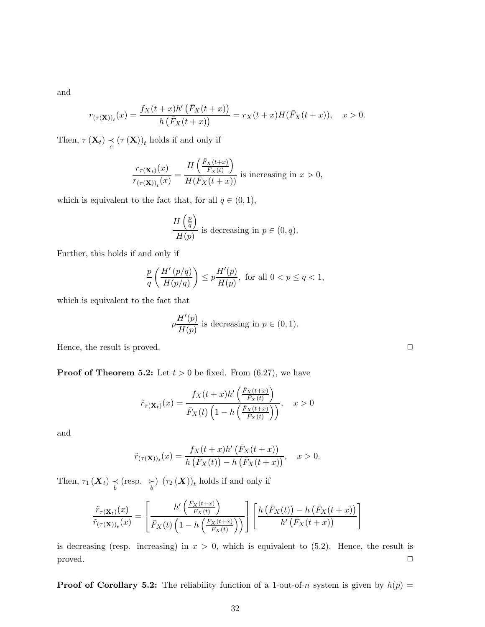and

$$
r_{(\tau(\mathbf{X}))_t}(x)=\frac{f_X(t+x)h'\left(\bar{F}_X(t+x)\right)}{h\left(\bar{F}_X(t+x)\right)}=r_X(t+x)H(\bar{F}_X(t+x)),\quad x>0.
$$

Then,  $\tau(\mathbf{X}_t) \underset{c}{\prec} (\tau(\mathbf{X}))_t$  holds if and only if

$$
\frac{r_{\tau(\mathbf{X}_t)}(x)}{r_{(\tau(\mathbf{X}))_t}(x)} = \frac{H\left(\frac{\bar{F}_X(t+x)}{\bar{F}_X(t)}\right)}{H(\bar{F}_X(t+x))}
$$
 is increasing in  $x > 0$ ,

which is equivalent to the fact that, for all  $q \in (0, 1)$ ,

$$
\frac{H\left(\frac{p}{q}\right)}{H(p)}
$$
 is decreasing in  $p \in (0, q)$ .

Further, this holds if and only if

$$
\frac{p}{q}\left(\frac{H'\left(p/q\right)}{H(p/q)}\right)\leq p\frac{H'(p)}{H(p)},\text{ for all }0
$$

which is equivalent to the fact that

$$
p\frac{H'(p)}{H(p)}
$$
 is decreasing in  $p \in (0,1)$ .

Hence, the result is proved.  $\Box$ 

**Proof of Theorem 5.2:** Let  $t > 0$  be fixed. From (6.27), we have

$$
\tilde{r}_{\tau(\mathbf{X}_t)}(x) = \frac{f_X(t+x)h'\left(\frac{\bar{F}_X(t+x)}{\bar{F}_X(t)}\right)}{\bar{F}_X(t)\left(1-h\left(\frac{\bar{F}_X(t+x)}{\bar{F}_X(t)}\right)\right)}, \quad x > 0
$$

and

$$
\tilde{r}_{(\tau(\mathbf{X}))_t}(x) = \frac{f_X(t+x)h'\left(\bar{F}_X(t+x)\right)}{h\left(\bar{F}_X(t)\right) - h\left(\bar{F}_X(t+x)\right)}, \quad x > 0.
$$

Then,  $\tau_1(\boldsymbol{X}_t) \preceq (\text{resp.} \ \succcurlyeq_{b} (\tau_2(\boldsymbol{X}))_t$  holds if and only if

$$
\frac{\tilde{r}_{\tau(\mathbf{X}_t)}(x)}{\tilde{r}_{(\tau(\mathbf{X}))_t}(x)} = \left[\frac{h'\left(\frac{\bar{F}_X(t+x)}{\bar{F}_X(t)}\right)}{\bar{F}_X(t)\left(1 - h\left(\frac{\bar{F}_X(t+x)}{\bar{F}_X(t)}\right)\right)}\right] \left[\frac{h\left(\bar{F}_X(t)\right) - h\left(\bar{F}_X(t+x)\right)}{h'\left(\bar{F}_X(t+x)\right)}\right]
$$

is decreasing (resp. increasing) in  $x > 0$ , which is equivalent to (5.2). Hence, the result is  $\Box$ 

**Proof of Corollary 5.2:** The reliability function of a 1-out-of-n system is given by  $h(p)$  =